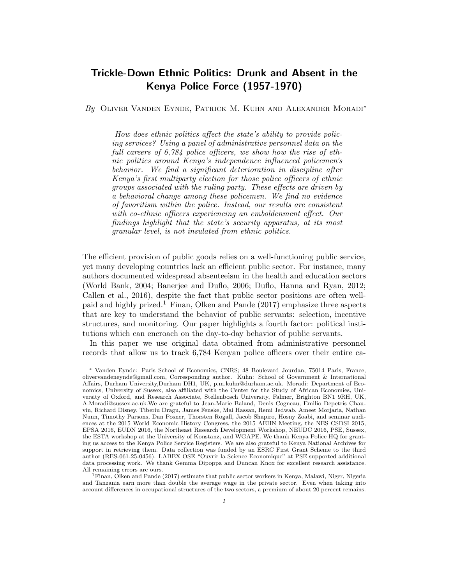# Trickle-Down Ethnic Politics: Drunk and Absent in the Kenya Police Force (1957-1970)

By OLIVER VANDEN EYNDE, PATRICK M. KUHN AND ALEXANDER MORADI<sup>\*</sup>

How does ethnic politics affect the state's ability to provide policing services? Using a panel of administrative personnel data on the full careers of 6,784 police officers, we show how the rise of ethnic politics around Kenya's independence influenced policemen's behavior. We find a significant deterioration in discipline after Kenya's first multiparty election for those police officers of ethnic groups associated with the ruling party. These effects are driven by a behavioral change among these policemen. We find no evidence of favoritism within the police. Instead, our results are consistent with co-ethnic officers experiencing an emboldenment effect. Our findings highlight that the state's security apparatus, at its most granular level, is not insulated from ethnic politics.

The efficient provision of public goods relies on a well-functioning public service, yet many developing countries lack an efficient public sector. For instance, many authors documented widespread absenteeism in the health and education sectors (World Bank, 2004; Banerjee and Duflo, 2006; Duflo, Hanna and Ryan, 2012; Callen et al., 2016), despite the fact that public sector positions are often wellpaid and highly prized.<sup>1</sup> Finan, Olken and Pande  $(2017)$  emphasize three aspects that are key to understand the behavior of public servants: selection, incentive structures, and monitoring. Our paper highlights a fourth factor: political institutions which can encroach on the day-to-day behavior of public servants.

In this paper we use original data obtained from administrative personnel records that allow us to track 6,784 Kenyan police officers over their entire ca-

<sup>∗</sup> Vanden Eynde: Paris School of Economics, CNRS; 48 Boulevard Jourdan, 75014 Paris, France, olivervandeneynde@gmail.com, Corresponding author. Kuhn: School of Government & International Affairs, Durham University,Durham DH1, UK, p.m.kuhn@durham.ac.uk. Moradi: Department of Economics, University of Sussex, also affiliated with the Center for the Study of African Economies, University of Oxford, and Research Associate, Stellenbosch University, Falmer, Brighton BN1 9RH, UK, A.Moradi@sussex.ac.uk.We are grateful to Jean-Marie Baland, Denis Cogneau, Emilio Depetris Chauvin, Richard Disney, Tiberiu Dragu, James Fenske, Mai Hassan, Remi Jedwab, Ameet Morjaria, Nathan Nunn, Timothy Parsons, Dan Posner, Thorsten Rogall, Jacob Shapiro, Hosny Zoabi, and seminar audiences at the 2015 World Economic History Congress, the 2015 AEHN Meeting, the NES CSDSI 2015, EPSA 2016, EUDN 2016, the Northeast Research Development Workshop, NEUDC 2016, PSE, Sussex, the ESTA workshop at the University of Konstanz, and WGAPE. We thank Kenya Police HQ for granting us access to the Kenya Police Service Registers. We are also grateful to Kenya National Archives for support in retrieving them. Data collection was funded by an ESRC First Grant Scheme to the third author (RES-061-25-0456). LABEX OSE "Ouvrir la Science Economique" at PSE supported additional data processing work. We thank Gemma Dipoppa and Duncan Knox for excellent research assistance. All remaining errors are ours.

<sup>1</sup>Finan, Olken and Pande (2017) estimate that public sector workers in Kenya, Malawi, Niger, Nigeria and Tanzania earn more than double the average wage in the private sector. Even when taking into account differences in occupational structures of the two sectors, a premium of about 20 percent remains.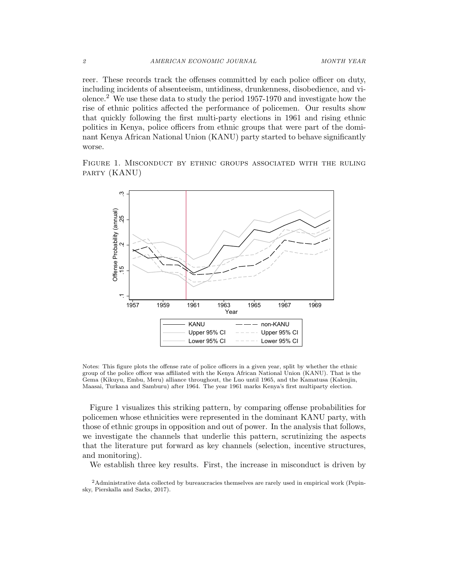reer. These records track the offenses committed by each police officer on duty, including incidents of absenteeism, untidiness, drunkenness, disobedience, and violence.<sup>2</sup> We use these data to study the period  $1957-1970$  and investigate how the rise of ethnic politics affected the performance of policemen. Our results show that quickly following the first multi-party elections in 1961 and rising ethnic politics in Kenya, police officers from ethnic groups that were part of the dominant Kenya African National Union (KANU) party started to behave significantly worse.

Figure 1. Misconduct by ethnic groups associated with the ruling party (KANU)



Notes: This figure plots the offense rate of police officers in a given year, split by whether the ethnic group of the police officer was affiliated with the Kenya African National Union (KANU). That is the Gema (Kikuyu, Embu, Meru) alliance throughout, the Luo until 1965, and the Kamatusa (Kalenjin, Maasai, Turkana and Samburu) after 1964. The year 1961 marks Kenya's first multiparty election.

Figure 1 visualizes this striking pattern, by comparing offense probabilities for policemen whose ethnicities were represented in the dominant KANU party, with those of ethnic groups in opposition and out of power. In the analysis that follows, we investigate the channels that underlie this pattern, scrutinizing the aspects that the literature put forward as key channels (selection, incentive structures, and monitoring).

We establish three key results. First, the increase in misconduct is driven by

<sup>2</sup>Administrative data collected by bureaucracies themselves are rarely used in empirical work (Pepinsky, Pierskalla and Sacks, 2017).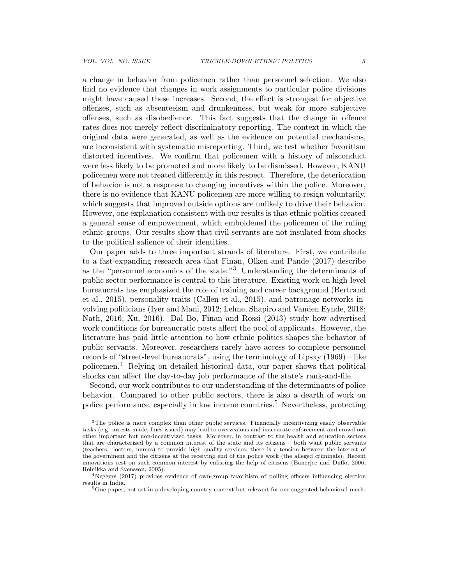a change in behavior from policemen rather than personnel selection. We also find no evidence that changes in work assignments to particular police divisions might have caused these increases. Second, the effect is strongest for objective offenses, such as absenteeism and drunkenness, but weak for more subjective offenses, such as disobedience. This fact suggests that the change in offence rates does not merely reflect discriminatory reporting. The context in which the original data were generated, as well as the evidence on potential mechanisms, are inconsistent with systematic misreporting. Third, we test whether favoritism distorted incentives. We confirm that policemen with a history of misconduct were less likely to be promoted and more likely to be dismissed. However, KANU policemen were not treated differently in this respect. Therefore, the deterioration of behavior is not a response to changing incentives within the police. Moreover, there is no evidence that KANU policemen are more willing to resign voluntarily, which suggests that improved outside options are unlikely to drive their behavior. However, one explanation consistent with our results is that ethnic politics created a general sense of empowerment, which emboldened the policemen of the ruling ethnic groups. Our results show that civil servants are not insulated from shocks to the political salience of their identities.

Our paper adds to three important strands of literature. First, we contribute to a fast-expanding research area that Finan, Olken and Pande (2017) describe as the "personnel economics of the state."<sup>3</sup> Understanding the determinants of public sector performance is central to this literature. Existing work on high-level bureaucrats has emphasized the role of training and career background (Bertrand et al., 2015), personality traits (Callen et al., 2015), and patronage networks involving politicians (Iyer and Mani, 2012; Lehne, Shapiro and Vanden Eynde, 2018; Nath, 2016; Xu, 2016). Dal Bo, Finan and Rossi (2013) study how advertised work conditions for bureaucratic posts affect the pool of applicants. However, the literature has paid little attention to how ethnic politics shapes the behavior of public servants. Moreover, researchers rarely have access to complete personnel records of "street-level bureaucrats", using the terminology of Lipsky (1969) – like policemen.<sup>4</sup> Relying on detailed historical data, our paper shows that political shocks can affect the day-to-day job performance of the state's rank-and-file.

Second, our work contributes to our understanding of the determinants of police behavior. Compared to other public sectors, there is also a dearth of work on police performance, especially in low income countries.<sup>5</sup> Nevertheless, protecting

<sup>&</sup>lt;sup>3</sup>The police is more complex than other public services. Financially incentivizing easily observable tasks (e.g. arrests made, fines issued) may lead to overzealous and inaccurate enforcement and crowd out other important but non-incentivized tasks. Moreover, in contrast to the health and education sectors that are characterized by a common interest of the state and its citizens – both want public servants (teachers, doctors, nurses) to provide high quality services, there is a tension between the interest of the government and the citizens at the receiving end of the police work (the alleged criminals). Recent innovations rest on such common interest by enlisting the help of citizens (Banerjee and Duflo, 2006; Reinikka and Svensson, 2005).

<sup>4</sup>Neggers (2017) provides evidence of own-group favoritism of polling officers influencing election results in India.

<sup>5</sup>One paper, not set in a developing country context but relevant for our suggested behavioral mech-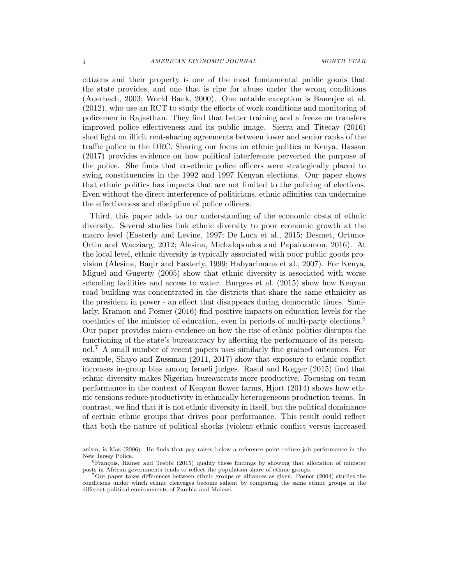citizens and their property is one of the most fundamental public goods that the state provides, and one that is ripe for abuse under the wrong conditions (Auerbach, 2003; World Bank, 2000). One notable exception is Banerjee et al. (2012), who use an RCT to study the effects of work conditions and monitoring of policemen in Rajasthan. They find that better training and a freeze on transfers improved police effectiveness and its public image. Sierra and Titecay (2016) shed light on illicit rent-sharing agreements between lower and senior ranks of the traffic police in the DRC. Sharing our focus on ethnic politics in Kenya, Hassan (2017) provides evidence on how political interference perverted the purpose of the police. She finds that co-ethnic police officers were strategically placed to swing constituencies in the 1992 and 1997 Kenyan elections. Our paper shows that ethnic politics has impacts that are not limited to the policing of elections. Even without the direct interference of politicians, ethnic affinities can undermine the effectiveness and discipline of police officers.

Third, this paper adds to our understanding of the economic costs of ethnic diversity. Several studies link ethnic diversity to poor economic growth at the macro level (Easterly and Levine, 1997; De Luca et al., 2015; Desmet, Ortuno-Ortin and Wacziarg, 2012; Alesina, Michalopoulos and Papaioannou, 2016). At the local level, ethnic diversity is typically associated with poor public goods provision (Alesina, Baqir and Easterly, 1999; Habyarimana et al., 2007). For Kenya, Miguel and Gugerty (2005) show that ethnic diversity is associated with worse schooling facilities and access to water. Burgess et al. (2015) show how Kenyan road building was concentrated in the districts that share the same ethnicity as the president in power - an effect that disappears during democratic times. Similarly, Kramon and Posner (2016) find positive impacts on education levels for the coethnics of the minister of education, even in periods of multi-party elections.<sup>6</sup> Our paper provides micro-evidence on how the rise of ethnic politics disrupts the functioning of the state's bureaucracy by affecting the performance of its personnel.<sup>7</sup> A small number of recent papers uses similarly fine grained outcomes. For example, Shayo and Zussman (2011, 2017) show that exposure to ethnic conflict increases in-group bias among Israeli judges. Rasul and Rogger (2015) find that ethnic diversity makes Nigerian bureaucrats more productive. Focusing on team performance in the context of Kenyan flower farms, Hjort (2014) shows how ethnic tensions reduce productivity in ethnically heterogeneous production teams. In contrast, we find that it is not ethnic diversity in itself, but the political dominance of certain ethnic groups that drives poor performance. This result could reflect that both the nature of political shocks (violent ethnic conflict versus increased

anism, is Mas (2006). He finds that pay raises below a reference point reduce job performance in the New Jersey Police.

 ${}^{6}$ François, Rainer and Trebbi (2015) qualify these findings by showing that allocation of minister posts in African governments tends to reflect the population share of ethnic groups.

<sup>7</sup>Our paper takes differences between ethnic groups or alliances as given. Posner (2004) studies the conditions under which ethnic cleavages become salient by comparing the same ethnic groups in the different political environments of Zambia and Malawi.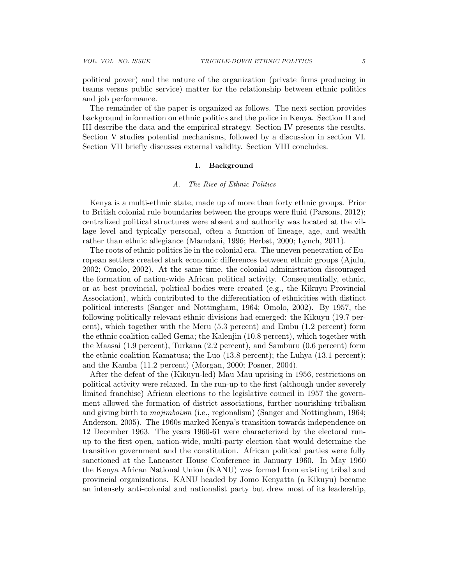political power) and the nature of the organization (private firms producing in teams versus public service) matter for the relationship between ethnic politics and job performance.

The remainder of the paper is organized as follows. The next section provides background information on ethnic politics and the police in Kenya. Section II and III describe the data and the empirical strategy. Section IV presents the results. Section V studies potential mechanisms, followed by a discussion in section VI. Section VII briefly discusses external validity. Section VIII concludes.

### I. Background

#### A. The Rise of Ethnic Politics

Kenya is a multi-ethnic state, made up of more than forty ethnic groups. Prior to British colonial rule boundaries between the groups were fluid (Parsons, 2012); centralized political structures were absent and authority was located at the village level and typically personal, often a function of lineage, age, and wealth rather than ethnic allegiance (Mamdani, 1996; Herbst, 2000; Lynch, 2011).

The roots of ethnic politics lie in the colonial era. The uneven penetration of European settlers created stark economic differences between ethnic groups (Ajulu, 2002; Omolo, 2002). At the same time, the colonial administration discouraged the formation of nation-wide African political activity. Consequentially, ethnic, or at best provincial, political bodies were created (e.g., the Kikuyu Provincial Association), which contributed to the differentiation of ethnicities with distinct political interests (Sanger and Nottingham, 1964; Omolo, 2002). By 1957, the following politically relevant ethnic divisions had emerged: the Kikuyu (19.7 percent), which together with the Meru (5.3 percent) and Embu (1.2 percent) form the ethnic coalition called Gema; the Kalenjin (10.8 percent), which together with the Maasai (1.9 percent), Turkana (2.2 percent), and Samburu (0.6 percent) form the ethnic coalition Kamatusa; the Luo (13.8 percent); the Luhya (13.1 percent); and the Kamba (11.2 percent) (Morgan, 2000; Posner, 2004).

After the defeat of the (Kikuyu-led) Mau Mau uprising in 1956, restrictions on political activity were relaxed. In the run-up to the first (although under severely limited franchise) African elections to the legislative council in 1957 the government allowed the formation of district associations, further nourishing tribalism and giving birth to *majimboism* (i.e., regionalism) (Sanger and Nottingham, 1964; Anderson, 2005). The 1960s marked Kenya's transition towards independence on 12 December 1963. The years 1960-61 were characterized by the electoral runup to the first open, nation-wide, multi-party election that would determine the transition government and the constitution. African political parties were fully sanctioned at the Lancaster House Conference in January 1960. In May 1960 the Kenya African National Union (KANU) was formed from existing tribal and provincial organizations. KANU headed by Jomo Kenyatta (a Kikuyu) became an intensely anti-colonial and nationalist party but drew most of its leadership,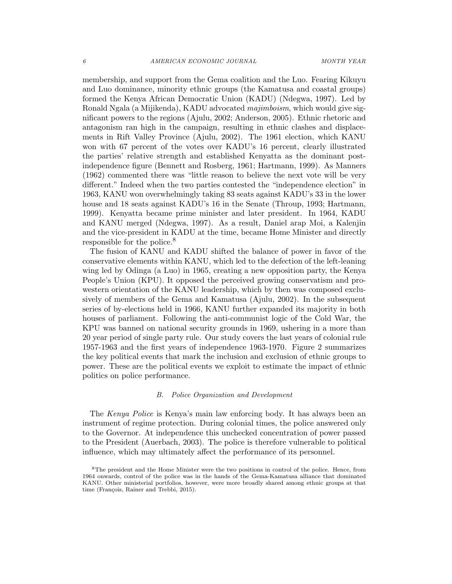membership, and support from the Gema coalition and the Luo. Fearing Kikuyu and Luo dominance, minority ethnic groups (the Kamatusa and coastal groups) formed the Kenya African Democratic Union (KADU) (Ndegwa, 1997). Led by Ronald Ngala (a Mijikenda), KADU advocated majimboism, which would give significant powers to the regions (Ajulu, 2002; Anderson, 2005). Ethnic rhetoric and antagonism ran high in the campaign, resulting in ethnic clashes and displacements in Rift Valley Province (Ajulu, 2002). The 1961 election, which KANU won with 67 percent of the votes over KADU's 16 percent, clearly illustrated the parties' relative strength and established Kenyatta as the dominant postindependence figure (Bennett and Rosberg, 1961; Hartmann, 1999). As Manners (1962) commented there was "little reason to believe the next vote will be very different." Indeed when the two parties contested the "independence election" in 1963, KANU won overwhelmingly taking 83 seats against KADU's 33 in the lower house and 18 seats against KADU's 16 in the Senate (Throup, 1993; Hartmann, 1999). Kenyatta became prime minister and later president. In 1964, KADU and KANU merged (Ndegwa, 1997). As a result, Daniel arap Moi, a Kalenjin and the vice-president in KADU at the time, became Home Minister and directly responsible for the police.<sup>8</sup>

The fusion of KANU and KADU shifted the balance of power in favor of the conservative elements within KANU, which led to the defection of the left-leaning wing led by Odinga (a Luo) in 1965, creating a new opposition party, the Kenya People's Union (KPU). It opposed the perceived growing conservatism and prowestern orientation of the KANU leadership, which by then was composed exclusively of members of the Gema and Kamatusa (Ajulu, 2002). In the subsequent series of by-elections held in 1966, KANU further expanded its majority in both houses of parliament. Following the anti-communist logic of the Cold War, the KPU was banned on national security grounds in 1969, ushering in a more than 20 year period of single party rule. Our study covers the last years of colonial rule 1957-1963 and the first years of independence 1963-1970. Figure 2 summarizes the key political events that mark the inclusion and exclusion of ethnic groups to power. These are the political events we exploit to estimate the impact of ethnic politics on police performance.

#### B. Police Organization and Development

The Kenya Police is Kenya's main law enforcing body. It has always been an instrument of regime protection. During colonial times, the police answered only to the Governor. At independence this unchecked concentration of power passed to the President (Auerbach, 2003). The police is therefore vulnerable to political influence, which may ultimately affect the performance of its personnel.

<sup>8</sup>The president and the Home Minister were the two positions in control of the police. Hence, from 1964 onwards, control of the police was in the hands of the Gema-Kamatusa alliance that dominated KANU. Other ministerial portfolios, however, were more broadly shared among ethnic groups at that time (François, Rainer and Trebbi, 2015).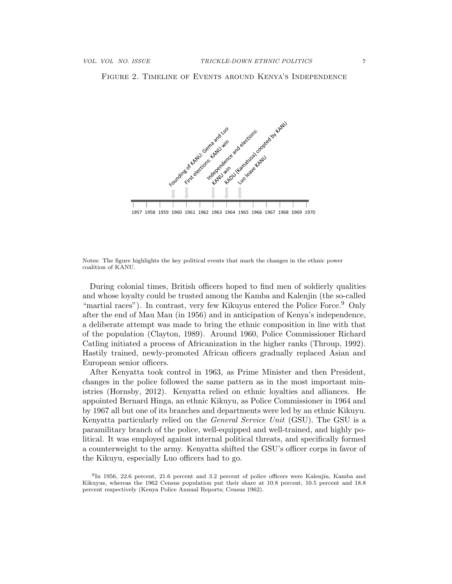Figure 2. Timeline of Events around Kenya's Independence



Notes: The figure highlights the key political events that mark the changes in the ethnic power coalition of KANU.

During colonial times, British officers hoped to find men of soldierly qualities and whose loyalty could be trusted among the Kamba and Kalenjin (the so-called "martial races"). In contrast, very few Kikuyus entered the Police Force.  $9$  Only after the end of Mau Mau (in 1956) and in anticipation of Kenya's independence, a deliberate attempt was made to bring the ethnic composition in line with that of the population (Clayton, 1989). Around 1960, Police Commissioner Richard Catling initiated a process of Africanization in the higher ranks (Throup, 1992). Hastily trained, newly-promoted African officers gradually replaced Asian and European senior officers.

After Kenyatta took control in 1963, as Prime Minister and then President, changes in the police followed the same pattern as in the most important ministries (Hornsby, 2012). Kenyatta relied on ethnic loyalties and alliances. He appointed Bernard Hinga, an ethnic Kikuyu, as Police Commissioner in 1964 and by 1967 all but one of its branches and departments were led by an ethnic Kikuyu. Kenyatta particularly relied on the General Service Unit (GSU). The GSU is a paramilitary branch of the police, well-equipped and well-trained, and highly political. It was employed against internal political threats, and specifically formed a counterweight to the army. Kenyatta shifted the GSU's officer corps in favor of the Kikuyu, especially Luo officers had to go.

9 In 1956, 22.6 percent, 21.6 percent and 3.2 percent of police officers were Kalenjin, Kamba and Kikuyus, whereas the 1962 Census population put their share at 10.8 percent, 10.5 percent and 18.8 percent respectively (Kenya Police Annual Reports; Census 1962).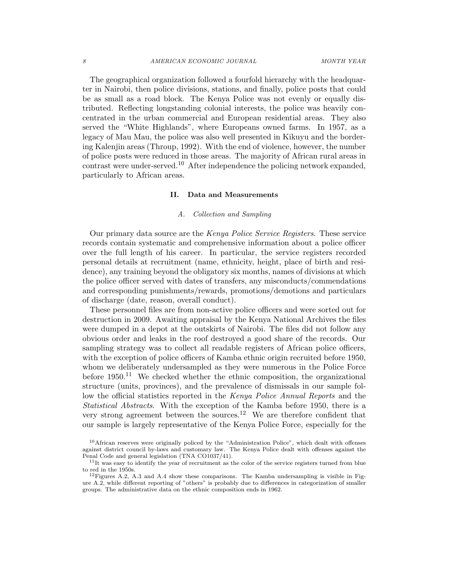The geographical organization followed a fourfold hierarchy with the headquarter in Nairobi, then police divisions, stations, and finally, police posts that could be as small as a road block. The Kenya Police was not evenly or equally distributed. Reflecting longstanding colonial interests, the police was heavily concentrated in the urban commercial and European residential areas. They also served the "White Highlands", where Europeans owned farms. In 1957, as a legacy of Mau Mau, the police was also well presented in Kikuyu and the bordering Kalenjin areas (Throup, 1992). With the end of violence, however, the number of police posts were reduced in those areas. The majority of African rural areas in contrast were under-served.<sup>10</sup> After independence the policing network expanded, particularly to African areas.

### II. Data and Measurements

### A. Collection and Sampling

Our primary data source are the Kenya Police Service Registers. These service records contain systematic and comprehensive information about a police officer over the full length of his career. In particular, the service registers recorded personal details at recruitment (name, ethnicity, height, place of birth and residence), any training beyond the obligatory six months, names of divisions at which the police officer served with dates of transfers, any misconducts/commendations and corresponding punishments/rewards, promotions/demotions and particulars of discharge (date, reason, overall conduct).

These personnel files are from non-active police officers and were sorted out for destruction in 2009. Awaiting appraisal by the Kenya National Archives the files were dumped in a depot at the outskirts of Nairobi. The files did not follow any obvious order and leaks in the roof destroyed a good share of the records. Our sampling strategy was to collect all readable registers of African police officers, with the exception of police officers of Kamba ethnic origin recruited before 1950, whom we deliberately undersampled as they were numerous in the Police Force before  $1950<sup>11</sup>$  We checked whether the ethnic composition, the organizational structure (units, provinces), and the prevalence of dismissals in our sample follow the official statistics reported in the Kenya Police Annual Reports and the Statistical Abstracts. With the exception of the Kamba before 1950, there is a very strong agreement between the sources.<sup>12</sup> We are therefore confident that our sample is largely representative of the Kenya Police Force, especially for the

<sup>&</sup>lt;sup>10</sup>African reserves were originally policed by the "Administration Police", which dealt with offenses against district council by-laws and customary law. The Kenya Police dealt with offenses against the Penal Code and general legislation (TNA CO1037/41).

<sup>&</sup>lt;sup>11</sup>It was easy to identify the year of recruitment as the color of the service registers turned from blue to red in the 1950s.

 $12$ Figures A.2, A.3 and A.4 show these comparisons. The Kamba undersampling is visible in Figure A.2, while different reporting of "others" is probably due to differences in categorization of smaller groups. The administrative data on the ethnic composition ends in 1962.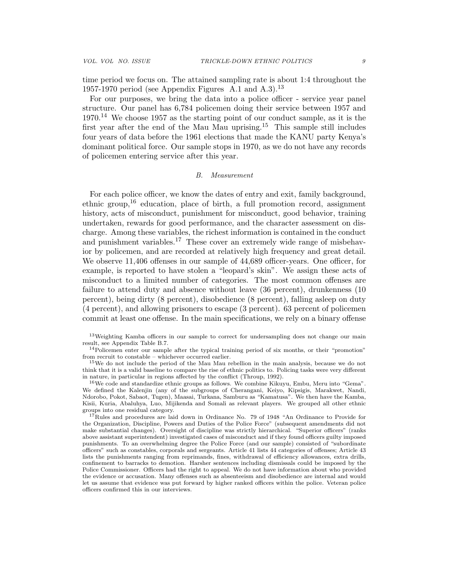time period we focus on. The attained sampling rate is about 1:4 throughout the 1957-1970 period (see Appendix Figures A.1 and A.3).<sup>13</sup>

For our purposes, we bring the data into a police officer - service year panel structure. Our panel has 6,784 policemen doing their service between 1957 and  $1970<sup>14</sup>$  We choose 1957 as the starting point of our conduct sample, as it is the first year after the end of the Mau Mau uprising.<sup>15</sup> This sample still includes four years of data before the 1961 elections that made the KANU party Kenya's dominant political force. Our sample stops in 1970, as we do not have any records of policemen entering service after this year.

#### B. Measurement

For each police officer, we know the dates of entry and exit, family background, ethnic group,<sup>16</sup> education, place of birth, a full promotion record, assignment history, acts of misconduct, punishment for misconduct, good behavior, training undertaken, rewards for good performance, and the character assessment on discharge. Among these variables, the richest information is contained in the conduct and punishment variables.<sup>17</sup> These cover an extremely wide range of misbehavior by policemen, and are recorded at relatively high frequency and great detail. We observe 11,406 offenses in our sample of 44,689 officer-years. One officer, for example, is reported to have stolen a "leopard's skin". We assign these acts of misconduct to a limited number of categories. The most common offenses are failure to attend duty and absence without leave (36 percent), drunkenness (10 percent), being dirty (8 percent), disobedience (8 percent), falling asleep on duty (4 percent), and allowing prisoners to escape (3 percent). 63 percent of policemen commit at least one offense. In the main specifications, we rely on a binary offense

<sup>13</sup>Weighting Kamba officers in our sample to correct for undersampling does not change our main result, see Appendix Table B.7.

<sup>14</sup>Policemen enter our sample after the typical training period of six months, or their "promotion" from recruit to constable – whichever occurred earlier.

<sup>15</sup>We do not include the period of the Mau Mau rebellion in the main analysis, because we do not think that it is a valid baseline to compare the rise of ethnic politics to. Policing tasks were very different in nature, in particular in regions affected by the conflict (Throup, 1992).

 $16\,\text{We code and standardize ethnic groups as follows. We combine Kikuyu, Embu, Meru into "Gema".}$ We defined the Kalenjin (any of the subgroups of Cherangani, Keiyo, Kipsigis, Marakwet, Nandi, Ndorobo, Pokot, Sabaot, Tugen), Maasai, Turkana, Samburu as "Kamatusa". We then have the Kamba, Kisii, Kuria, Abaluhya, Luo, Mijikenda and Somali as relevant players. We grouped all other ethnic groups into one residual category.

<sup>17</sup>Rules and procedures are laid down in Ordinance No. 79 of 1948 "An Ordinance to Provide for the Organization, Discipline, Powers and Duties of the Police Force" (subsequent amendments did not make substantial changes). Oversight of discipline was strictly hierarchical. "Superior officers" (ranks above assistant superintendent) investigated cases of misconduct and if they found officers guilty imposed punishments. To an overwhelming degree the Police Force (and our sample) consisted of "subordinate officers" such as constables, corporals and sergeants. Article 41 lists 44 categories of offenses; Article 43 lists the punishments ranging from reprimands, fines, withdrawal of efficiency allowances, extra drills, confinement to barracks to demotion. Harsher sentences including dismissals could be imposed by the Police Commissioner. Officers had the right to appeal. We do not have information about who provided the evidence or accusation. Many offenses such as absenteeism and disobedience are internal and would let us assume that evidence was put forward by higher ranked officers within the police. Veteran police officers confirmed this in our interviews.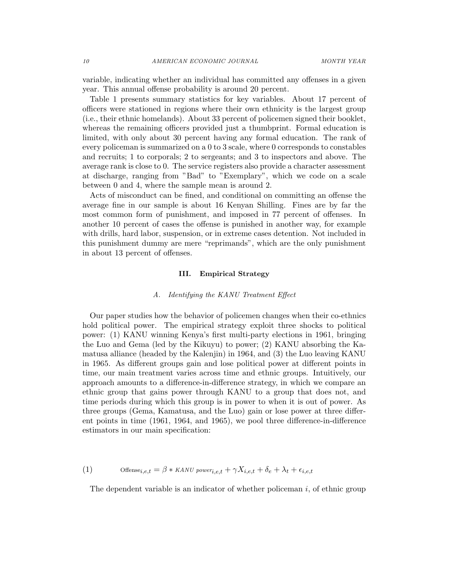variable, indicating whether an individual has committed any offenses in a given year. This annual offense probability is around 20 percent.

Table 1 presents summary statistics for key variables. About 17 percent of officers were stationed in regions where their own ethnicity is the largest group (i.e., their ethnic homelands). About 33 percent of policemen signed their booklet, whereas the remaining officers provided just a thumbprint. Formal education is limited, with only about 30 percent having any formal education. The rank of every policeman is summarized on a 0 to 3 scale, where 0 corresponds to constables and recruits; 1 to corporals; 2 to sergeants; and 3 to inspectors and above. The average rank is close to 0. The service registers also provide a character assessment at discharge, ranging from "Bad" to "Exemplary", which we code on a scale between 0 and 4, where the sample mean is around 2.

Acts of misconduct can be fined, and conditional on committing an offense the average fine in our sample is about 16 Kenyan Shilling. Fines are by far the most common form of punishment, and imposed in 77 percent of offenses. In another 10 percent of cases the offense is punished in another way, for example with drills, hard labor, suspension, or in extreme cases detention. Not included in this punishment dummy are mere "reprimands", which are the only punishment in about 13 percent of offenses.

#### III. Empirical Strategy

#### A. Identifying the KANU Treatment Effect

Our paper studies how the behavior of policemen changes when their co-ethnics hold political power. The empirical strategy exploit three shocks to political power: (1) KANU winning Kenya's first multi-party elections in 1961, bringing the Luo and Gema (led by the Kikuyu) to power; (2) KANU absorbing the Kamatusa alliance (headed by the Kalenjin) in 1964, and (3) the Luo leaving KANU in 1965. As different groups gain and lose political power at different points in time, our main treatment varies across time and ethnic groups. Intuitively, our approach amounts to a difference-in-difference strategy, in which we compare an ethnic group that gains power through KANU to a group that does not, and time periods during which this group is in power to when it is out of power. As three groups (Gema, Kamatusa, and the Luo) gain or lose power at three different points in time (1961, 1964, and 1965), we pool three difference-in-difference estimators in our main specification:

Offensei,e,t = β ∗ KANU power (1) i,e,t + γXi,e,t + δ<sup>e</sup> + λ<sup>t</sup> + i,e,t

The dependent variable is an indicator of whether policeman  $i$ , of ethnic group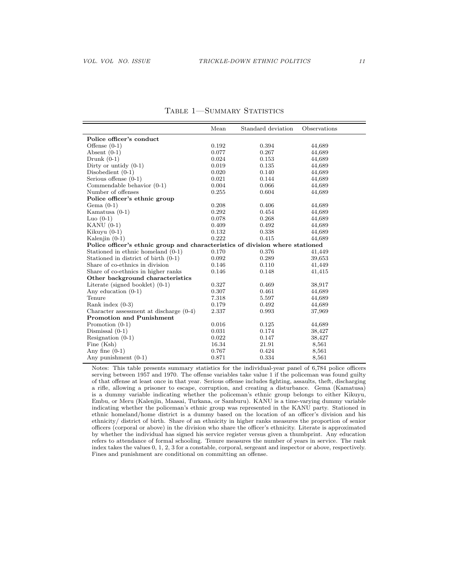|                                                                               | Mean  | Standard deviation | Observations |
|-------------------------------------------------------------------------------|-------|--------------------|--------------|
| Police officer's conduct                                                      |       |                    |              |
| Offense $(0-1)$                                                               | 0.192 | 0.394              | 44,689       |
| Absent $(0-1)$                                                                | 0.077 | 0.267              | 44,689       |
| Drunk $(0-1)$                                                                 | 0.024 | 0.153              | 44,689       |
| Dirty or untidy $(0-1)$                                                       | 0.019 | 0.135              | 44,689       |
| Disobedient $(0-1)$                                                           | 0.020 | 0.140              | 44,689       |
| Serious offense $(0-1)$                                                       | 0.021 | 0.144              | 44,689       |
| Commendable behavior $(0-1)$                                                  | 0.004 | 0.066              | 44,689       |
| Number of offenses                                                            | 0.255 | 0.604              | 44,689       |
| Police officer's ethnic group                                                 |       |                    |              |
| Gema $(0-1)$                                                                  | 0.208 | 0.406              | 44,689       |
| Kamatusa $(0-1)$                                                              | 0.292 | 0.454              | 44,689       |
| Luo $(0-1)$                                                                   | 0.078 | 0.268              | 44,689       |
| KANU $(0-1)$                                                                  | 0.409 | 0.492              | 44,689       |
| Kikuyu $(0-1)$                                                                | 0.132 | 0.338              | 44,689       |
| Kalenjin $(0-1)$                                                              | 0.222 | 0.415              | 44,689       |
| Police officer's ethnic group and characteristics of division where stationed |       |                    |              |
| Stationed in ethnic homeland (0-1)                                            | 0.170 | 0.376              | 41,449       |
| Stationed in district of birth $(0-1)$                                        | 0.092 | 0.289              | 39,653       |
| Share of co-ethnics in division                                               | 0.146 | 0.110              | 41,449       |
| Share of co-ethnics in higher ranks                                           | 0.146 | 0.148              | 41,415       |
| Other background characteristics                                              |       |                    |              |
| Literate (signed booklet) $(0-1)$                                             | 0.327 | 0.469              | 38,917       |
| Any education $(0-1)$                                                         | 0.307 | 0.461              | 44,689       |
| Tenure                                                                        | 7.318 | 5.597              | 44,689       |
| Rank index $(0-3)$                                                            | 0.179 | 0.492              | 44,689       |
| Character assessment at discharge $(0-4)$                                     | 2.337 | 0.993              | 37,969       |
| <b>Promotion and Punishment</b>                                               |       |                    |              |
| Promotion $(0-1)$                                                             | 0.016 | 0.125              | 44,689       |
| Dismissal $(0-1)$                                                             | 0.031 | 0.174              | 38,427       |
| Resignation $(0-1)$                                                           | 0.022 | 0.147              | 38,427       |
| Fine (Ksh)                                                                    | 16.34 | 21.91              | 8,561        |
| Any fine $(0-1)$                                                              | 0.767 | 0.424              | 8,561        |
| Any punishment $(0-1)$                                                        | 0.871 | 0.334              | 8,561        |

TABLE 1-SUMMARY STATISTICS

Notes: This table presents summary statistics for the individual-year panel of 6,784 police officers serving between 1957 and 1970. The offense variables take value 1 if the policeman was found guilty of that offense at least once in that year. Serious offense includes fighting, assaults, theft, discharging a rifle, allowing a prisoner to escape, corruption, and creating a disturbance. Gema (Kamatusa) is a dummy variable indicating whether the policeman's ethnic group belongs to either Kikuyu, Embu, or Meru (Kalenjin, Maasai, Turkana, or Samburu). KANU is a time-varying dummy variable indicating whether the policeman's ethnic group was represented in the KANU party. Stationed in ethnic homeland/home district is a dummy based on the location of an officer's division and his ethnicity/ district of birth. Share of an ethnicity in higher ranks measures the proportion of senior officers (corporal or above) in the division who share the officer's ethnicity. Literate is approximated by whether the individual has signed his service register versus given a thumbprint. Any education refers to attendance of formal schooling. Tenure measures the number of years in service. The rank index takes the values 0, 1, 2, 3 for a constable, corporal, sergeant and inspector or above, respectively. Fines and punishment are conditional on committing an offense.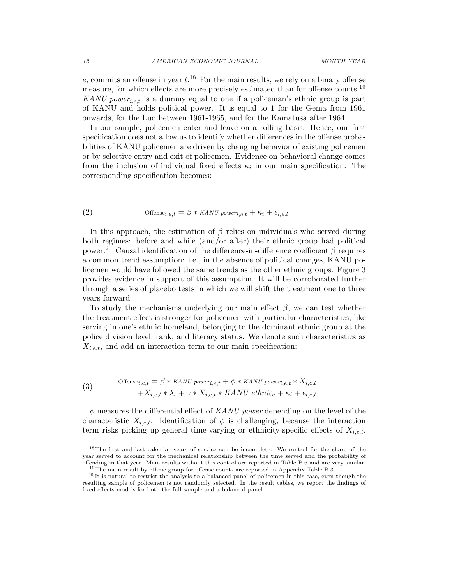e, commits an offense in year  $t^{18}$ . For the main results, we rely on a binary offense measure, for which effects are more precisely estimated than for offense counts.<sup>19</sup> KANU power<sub>i.e.t</sub> is a dummy equal to one if a policeman's ethnic group is part of KANU and holds political power. It is equal to 1 for the Gema from 1961 onwards, for the Luo between 1961-1965, and for the Kamatusa after 1964.

In our sample, policemen enter and leave on a rolling basis. Hence, our first specification does not allow us to identify whether differences in the offense probabilities of KANU policemen are driven by changing behavior of existing policemen or by selective entry and exit of policemen. Evidence on behavioral change comes from the inclusion of individual fixed effects  $\kappa_i$  in our main specification. The corresponding specification becomes:

Offensei,e,t = β ∗ KANU power (2) i,e,t + κ<sup>i</sup> + i,e,t

In this approach, the estimation of  $\beta$  relies on individuals who served during both regimes: before and while (and/or after) their ethnic group had political power.<sup>20</sup> Causal identification of the difference-in-difference coefficient  $\beta$  requires a common trend assumption: i.e., in the absence of political changes, KANU policemen would have followed the same trends as the other ethnic groups. Figure 3 provides evidence in support of this assumption. It will be corroborated further through a series of placebo tests in which we will shift the treatment one to three years forward.

To study the mechanisms underlying our main effect  $\beta$ , we can test whether the treatment effect is stronger for policemen with particular characteristics, like serving in one's ethnic homeland, belonging to the dominant ethnic group at the police division level, rank, and literacy status. We denote such characteristics as  $X_{i,e,t}$ , and add an interaction term to our main specification:

(3) 
$$
\text{Offense}_{i,e,t} = \beta * \text{KANU power}_{i,e,t} + \phi * \text{KANU power}_{i,e,t} * X_{i,e,t} + X_{i,e,t} * \lambda_t + \gamma * X_{i,e,t} * \text{KANU ethnic}_e + \kappa_i + \epsilon_{i,e,t}
$$

 $\phi$  measures the differential effect of KANU power depending on the level of the characteristic  $X_{i,e,t}$ . Identification of  $\phi$  is challenging, because the interaction term risks picking up general time-varying or ethnicity-specific effects of  $X_{i,e,t}$ .

<sup>&</sup>lt;sup>18</sup>The first and last calendar years of service can be incomplete. We control for the share of the year served to account for the mechanical relationship between the time served and the probability of offending in that year. Main results without this control are reported in Table B.6 and are very similar. <sup>19</sup>The main result by ethnic group for offense counts are reported in Appendix Table B.3.

<sup>20</sup>It is natural to restrict the analysis to a balanced panel of policemen in this case, even though the resulting sample of policemen is not randomly selected. In the result tables, we report the findings of fixed effects models for both the full sample and a balanced panel.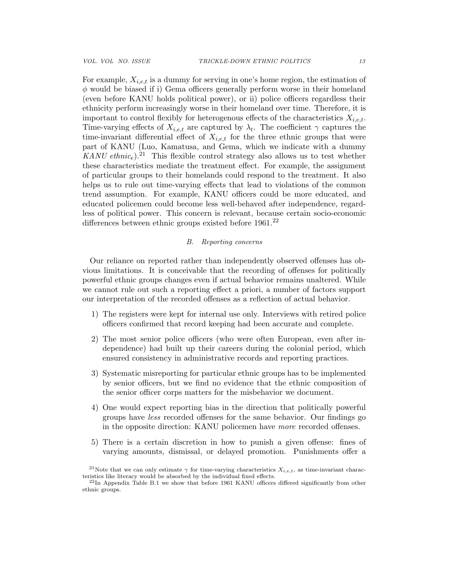For example,  $X_{i,e,t}$  is a dummy for serving in one's home region, the estimation of  $\phi$  would be biased if i) Gema officers generally perform worse in their homeland (even before KANU holds political power), or ii) police officers regardless their ethnicity perform increasingly worse in their homeland over time. Therefore, it is important to control flexibly for heterogenous effects of the characteristics  $X_{i,e,t}$ . Time-varying effects of  $X_{i,e,t}$  are captured by  $\lambda_t$ . The coefficient  $\gamma$  captures the time-invariant differential effect of  $X_{i,e,t}$  for the three ethnic groups that were part of KANU (Luo, Kamatusa, and Gema, which we indicate with a dummy KANU ethnic<sub>e</sub>).<sup>21</sup> This flexible control strategy also allows us to test whether these characteristics mediate the treatment effect. For example, the assignment of particular groups to their homelands could respond to the treatment. It also helps us to rule out time-varying effects that lead to violations of the common trend assumption. For example, KANU officers could be more educated, and educated policemen could become less well-behaved after independence, regardless of political power. This concern is relevant, because certain socio-economic differences between ethnic groups existed before  $1961<sup>22</sup>$ 

## B. Reporting concerns

Our reliance on reported rather than independently observed offenses has obvious limitations. It is conceivable that the recording of offenses for politically powerful ethnic groups changes even if actual behavior remains unaltered. While we cannot rule out such a reporting effect a priori, a number of factors support our interpretation of the recorded offenses as a reflection of actual behavior.

- 1) The registers were kept for internal use only. Interviews with retired police officers confirmed that record keeping had been accurate and complete.
- 2) The most senior police officers (who were often European, even after independence) had built up their careers during the colonial period, which ensured consistency in administrative records and reporting practices.
- 3) Systematic misreporting for particular ethnic groups has to be implemented by senior officers, but we find no evidence that the ethnic composition of the senior officer corps matters for the misbehavior we document.
- 4) One would expect reporting bias in the direction that politically powerful groups have less recorded offenses for the same behavior. Our findings go in the opposite direction: KANU policemen have more recorded offenses.
- 5) There is a certain discretion in how to punish a given offense: fines of varying amounts, dismissal, or delayed promotion. Punishments offer a

<sup>&</sup>lt;sup>21</sup>Note that we can only estimate  $\gamma$  for time-varying characteristics  $X_{i,e,t}$ , as time-invariant characteristics like literacy would be absorbed by the individual fixed effects.

<sup>&</sup>lt;sup>22</sup>In Appendix Table B.1 we show that before 1961 KANU officers differed significantly from other ethnic groups.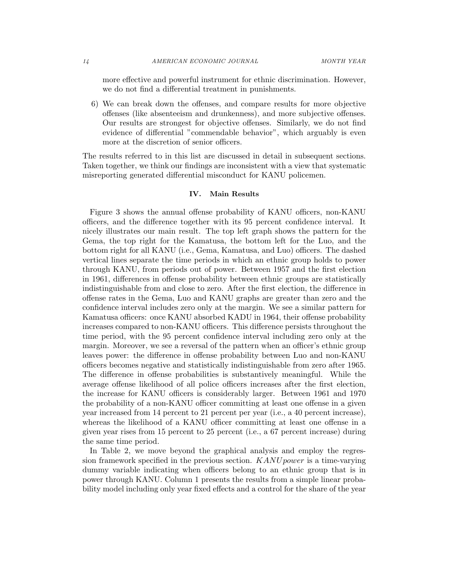more effective and powerful instrument for ethnic discrimination. However, we do not find a differential treatment in punishments.

6) We can break down the offenses, and compare results for more objective offenses (like absenteeism and drunkenness), and more subjective offenses. Our results are strongest for objective offenses. Similarly, we do not find evidence of differential "commendable behavior", which arguably is even more at the discretion of senior officers.

The results referred to in this list are discussed in detail in subsequent sections. Taken together, we think our findings are inconsistent with a view that systematic misreporting generated differential misconduct for KANU policemen.

#### IV. Main Results

Figure 3 shows the annual offense probability of KANU officers, non-KANU officers, and the difference together with its 95 percent confidence interval. It nicely illustrates our main result. The top left graph shows the pattern for the Gema, the top right for the Kamatusa, the bottom left for the Luo, and the bottom right for all KANU (i.e., Gema, Kamatusa, and Luo) officers. The dashed vertical lines separate the time periods in which an ethnic group holds to power through KANU, from periods out of power. Between 1957 and the first election in 1961, differences in offense probability between ethnic groups are statistically indistinguishable from and close to zero. After the first election, the difference in offense rates in the Gema, Luo and KANU graphs are greater than zero and the confidence interval includes zero only at the margin. We see a similar pattern for Kamatusa officers: once KANU absorbed KADU in 1964, their offense probability increases compared to non-KANU officers. This difference persists throughout the time period, with the 95 percent confidence interval including zero only at the margin. Moreover, we see a reversal of the pattern when an officer's ethnic group leaves power: the difference in offense probability between Luo and non-KANU officers becomes negative and statistically indistinguishable from zero after 1965. The difference in offense probabilities is substantively meaningful. While the average offense likelihood of all police officers increases after the first election, the increase for KANU officers is considerably larger. Between 1961 and 1970 the probability of a non-KANU officer committing at least one offense in a given year increased from 14 percent to 21 percent per year (i.e., a 40 percent increase), whereas the likelihood of a KANU officer committing at least one offense in a given year rises from 15 percent to 25 percent (i.e., a 67 percent increase) during the same time period.

In Table 2, we move beyond the graphical analysis and employ the regression framework specified in the previous section. KANU power is a time-varying dummy variable indicating when officers belong to an ethnic group that is in power through KANU. Column 1 presents the results from a simple linear probability model including only year fixed effects and a control for the share of the year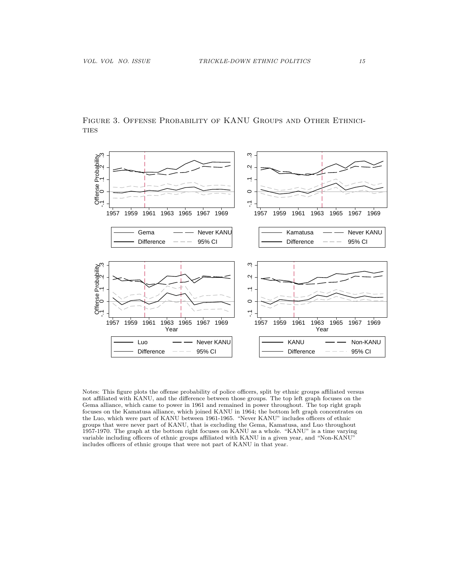

Figure 3. Offense Probability of KANU Groups and Other Ethnici-**TIES** 

Notes: This figure plots the offense probability of police officers, split by ethnic groups affiliated versus not affiliated with KANU, and the difference between those groups. The top left graph focuses on the Gema alliance, which came to power in 1961 and remained in power throughout. The top right graph focuses on the Kamatusa alliance, which joined KANU in 1964; the bottom left graph concentrates on the Luo, which were part of KANU between 1961-1965. "Never KANU" includes officers of ethnic groups that were never part of KANU, that is excluding the Gema, Kamatusa, and Luo throughout 1957-1970. The graph at the bottom right focuses on KANU as a whole. "KANU" is a time varying variable including officers of ethnic groups affiliated with KANU in a given year, and "Non-KANU" includes officers of ethnic groups that were not part of KANU in that year.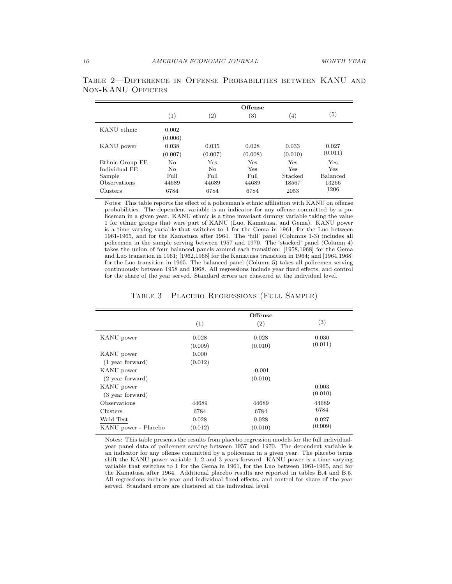|                 | $\left( 1\right)$ | $\left( 2\right)$ | $\left( 3\right)$ | $\left( 4\right)$ | $\left( 5\right)$ |
|-----------------|-------------------|-------------------|-------------------|-------------------|-------------------|
| KANU ethnic     | 0.002             |                   |                   |                   |                   |
|                 | (0.006)           |                   |                   |                   |                   |
| KANU power      | 0.038             | 0.035             | 0.028             | 0.033             | 0.027             |
|                 | (0.007)           | (0.007)           | (0.008)           | (0.010)           | (0.011)           |
| Ethnic Group FE | No                | Yes               | Yes               | Yes               | Yes               |
| Individual FE   | No                | No                | Yes               | Yes               | Yes               |
| Sample          | Full              | Full              | Full              | Stacked           | Balanced          |
| Observations    | 44689             | 44689             | 44689             | 18567             | 13266             |
| Clusters        | 6784              | 6784              | 6784              | 2053              | 1206              |

| TABLE 2—DIFFERENCE IN OFFENSE PROBABILITIES BETWEEN KANU AND |  |  |  |
|--------------------------------------------------------------|--|--|--|
| NON-KANU OFFICERS                                            |  |  |  |

Notes: This table reports the effect of a policeman's ethnic affiliation with KANU on offense probabilities. The dependent variable is an indicator for any offense committed by a policeman in a given year. KANU ethnic is a time invariant dummy variable taking the value 1 for ethnic groups that were part of KANU (Luo, Kamatusa, and Gema). KANU power is a time varying variable that switches to 1 for the Gema in 1961, for the Luo between 1961-1965, and for the Kamatusa after 1964. The 'full' panel (Columns 1-3) includes all policemen in the sample serving between 1957 and 1970. The 'stacked' panel (Column 4) takes the union of four balanced panels around each transition: [1958,1968] for the Gema and Luo transition in 1961; [1962,1968] for the Kamatusa transition in 1964; and [1964,1968] for the Luo transition in 1965. The balanced panel (Column 5) takes all policemen serving continuously between 1958 and 1968. All regressions include year fixed effects, and control for the share of the year served. Standard errors are clustered at the individual level.

TABLE 3-PLACEBO REGRESSIONS (FULL SAMPLE)

|                            |         | Offense  |         |
|----------------------------|---------|----------|---------|
|                            | (1)     | (2)      | (3)     |
| KANU power                 | 0.028   | 0.028    | 0.030   |
|                            | (0.009) | (0.010)  | (0.011) |
| KANU power                 | 0.000   |          |         |
| $(1$ year forward)         | (0.012) |          |         |
| KANU power                 |         | $-0.001$ |         |
| $(2 \text{ year forward})$ |         | (0.010)  |         |
| KANU power                 |         |          | 0.003   |
| (3 year forward)           |         |          | (0.010) |
| Observations               | 44689   | 44689    | 44689   |
| Clusters                   | 6784    | 6784     | 6784    |
| Wald Test                  | 0.028   | 0.028    | 0.027   |
| KANU power - Placebo       | (0.012) | (0.010)  | (0.009) |

Notes: This table presents the results from placebo regression models for the full individualyear panel data of policemen serving between 1957 and 1970. The dependent variable is an indicator for any offense committed by a policeman in a given year. The placebo terms shift the KANU power variable 1, 2 and 3 years forward. KANU power is a time varying variable that switches to 1 for the Gema in 1961, for the Luo between 1961-1965, and for the Kamatusa after 1964. Additional placebo results are reported in tables B.4 and B.5. All regressions include year and individual fixed effects, and control for share of the year served. Standard errors are clustered at the individual level.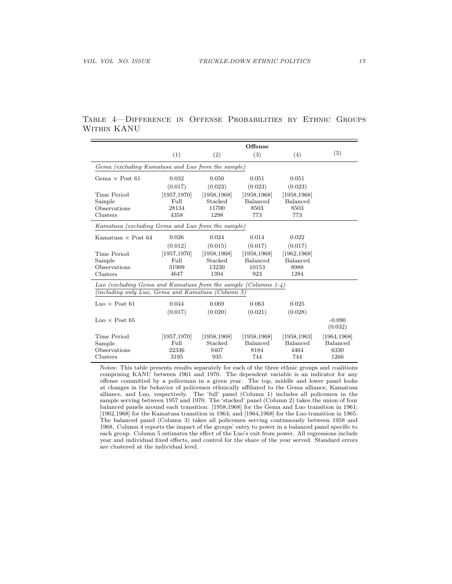# Table 4—Difference in Offense Probabilities by Ethnic Groups Within KANU

|                                                                   |              |              | Offense         |                 |                     |  |  |
|-------------------------------------------------------------------|--------------|--------------|-----------------|-----------------|---------------------|--|--|
|                                                                   | (1)          | (2)          | (3)             | (4)             | (5)                 |  |  |
| Gema (excluding Kamatusa and Luo from the sample)                 |              |              |                 |                 |                     |  |  |
| Gema $\times$ Post 61                                             | 0.032        | 0.050        | 0.051           | 0.051           |                     |  |  |
|                                                                   | (0.017)      | (0.023)      | (0.023)         | (0.023)         |                     |  |  |
| Time Period                                                       | [1957, 1970] | [1958, 1968] | [1958, 1968]    | [1958, 1968]    |                     |  |  |
| Sample                                                            | Full         | Stacked      | Balanced        | Balanced        |                     |  |  |
| Observations                                                      | 28134        | 11700        | 8503            | 8503            |                     |  |  |
| Clusters                                                          | 4358         | 1298         | 773             | 773             |                     |  |  |
| Kamatusa (excluding Gema and Luo from the sample)                 |              |              |                 |                 |                     |  |  |
| Kamatusa $\times$ Post 64                                         | 0.026        | 0.024        | 0.014           | 0.022           |                     |  |  |
|                                                                   | (0.012)      | (0.015)      | (0.017)         | (0.017)         |                     |  |  |
| Time Period                                                       | [1957, 1970] | [1958, 1968] | [1958, 1968]    | [1962, 1968]    |                     |  |  |
| Sample                                                            | Full         | Stacked      | Balanced        | Balanced        |                     |  |  |
| Observations                                                      | 31909        | 13230        | 10153           | 8988            |                     |  |  |
| Clusters                                                          | 4647         | 1394         | 923             | 1284            |                     |  |  |
| Luo (excluding Gema and Kamatusa from the sample (Columns $1-4$ ) |              |              |                 |                 |                     |  |  |
| (including only Luo, Gema and Kamatusa (Column 5)                 |              |              |                 |                 |                     |  |  |
| Luo $\times$ Post 61                                              | 0.044        | 0.069        | 0.063           | 0.025           |                     |  |  |
|                                                                   | (0.017)      | (0.020)      | (0.021)         | (0.028)         |                     |  |  |
| $Luo \times Post 65$                                              |              |              |                 |                 | $-0.090$<br>(0.032) |  |  |
| Time Period                                                       | [1957, 1970] | [1958, 1968] | [1958, 1968]    | [1958, 1963]    | [1964, 1968]        |  |  |
| Sample                                                            | Full         | Stacked      | <b>Balanced</b> | <b>Balanced</b> | Balanced            |  |  |
| Observations                                                      | 22336        | 9407         | 8184            | 4464            | 6330                |  |  |
| Clusters                                                          | 3195         | 935          | 744             | 744             | 1266                |  |  |

Notes: This table presents results separately for each of the three ethnic groups and coalitions comprising KANU between 1961 and 1970. The dependent variable is an indicator for any offense committed by a policeman in a given year. The top, middle and lower panel looks at changes in the behavior of policemen ethnically affiliated to the Gema alliance, Kamatusa alliance, and Luo, respectively. The 'full' panel (Column 1) includes all policemen in the sample serving between 1957 and 1970. The 'stacked' panel (Column 2) takes the union of four balanced panels around each transition: [1958,1968] for the Gema and Luo transition in 1961; [1962,1968] for the Kamatusa transition in 1964; and [1964,1968] for the Luo transition in 1965. The balanced panel (Column 3) takes all policemen serving continuously between 1958 and 1968. Column 4 reports the impact of the groups' entry to power in a balanced panel specific to each group. Column 5 estimates the effect of the Luo's exit from power. All regressions include year and individual fixed effects, and control for the share of the year served. Standard errors are clustered at the individual level.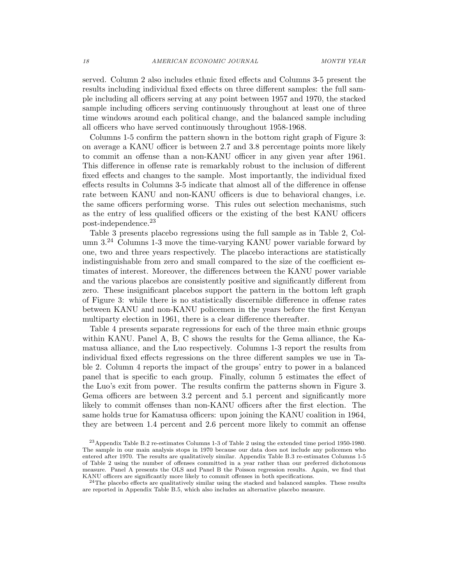served. Column 2 also includes ethnic fixed effects and Columns 3-5 present the results including individual fixed effects on three different samples: the full sample including all officers serving at any point between 1957 and 1970, the stacked sample including officers serving continuously throughout at least one of three time windows around each political change, and the balanced sample including all officers who have served continuously throughout 1958-1968.

Columns 1-5 confirm the pattern shown in the bottom right graph of Figure 3: on average a KANU officer is between 2.7 and 3.8 percentage points more likely to commit an offense than a non-KANU officer in any given year after 1961. This difference in offense rate is remarkably robust to the inclusion of different fixed effects and changes to the sample. Most importantly, the individual fixed effects results in Columns 3-5 indicate that almost all of the difference in offense rate between KANU and non-KANU officers is due to behavioral changes, i.e. the same officers performing worse. This rules out selection mechanisms, such as the entry of less qualified officers or the existing of the best KANU officers post-independence.<sup>23</sup>

Table 3 presents placebo regressions using the full sample as in Table 2, Column  $3<sup>24</sup>$  Columns 1-3 move the time-varying KANU power variable forward by one, two and three years respectively. The placebo interactions are statistically indistinguishable from zero and small compared to the size of the coefficient estimates of interest. Moreover, the differences between the KANU power variable and the various placebos are consistently positive and significantly different from zero. These insignificant placebos support the pattern in the bottom left graph of Figure 3: while there is no statistically discernible difference in offense rates between KANU and non-KANU policemen in the years before the first Kenyan multiparty election in 1961, there is a clear difference thereafter.

Table 4 presents separate regressions for each of the three main ethnic groups within KANU. Panel A, B, C shows the results for the Gema alliance, the Kamatusa alliance, and the Luo respectively. Columns 1-3 report the results from individual fixed effects regressions on the three different samples we use in Table 2. Column 4 reports the impact of the groups' entry to power in a balanced panel that is specific to each group. Finally, column 5 estimates the effect of the Luo's exit from power. The results confirm the patterns shown in Figure 3. Gema officers are between 3.2 percent and 5.1 percent and significantly more likely to commit offenses than non-KANU officers after the first election. The same holds true for Kamatusa officers: upon joining the KANU coalition in 1964, they are between 1.4 percent and 2.6 percent more likely to commit an offense

<sup>23</sup>Appendix Table B.2 re-estimates Columns 1-3 of Table 2 using the extended time period 1950-1980. The sample in our main analysis stops in 1970 because our data does not include any policemen who entered after 1970. The results are qualitatively similar. Appendix Table B.3 re-estimates Columns 1-5 of Table 2 using the number of offenses committed in a year rather than our preferred dichotomous measure. Panel A presents the OLS and Panel B the Poisson regression results. Again, we find that KANU officers are significantly more likely to commit offenses in both specifications.

 $24$ The placebo effects are qualitatively similar using the stacked and balanced samples. These results are reported in Appendix Table B.5, which also includes an alternative placebo measure.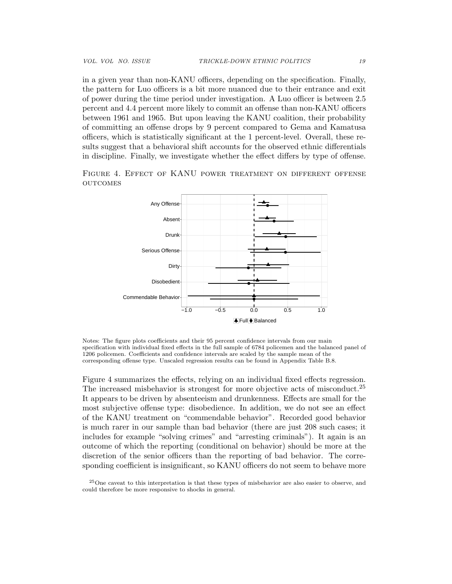in a given year than non-KANU officers, depending on the specification. Finally, the pattern for Luo officers is a bit more nuanced due to their entrance and exit of power during the time period under investigation. A Luo officer is between 2.5 percent and 4.4 percent more likely to commit an offense than non-KANU officers between 1961 and 1965. But upon leaving the KANU coalition, their probability of committing an offense drops by 9 percent compared to Gema and Kamatusa officers, which is statistically significant at the 1 percent-level. Overall, these results suggest that a behavioral shift accounts for the observed ethnic differentials in discipline. Finally, we investigate whether the effect differs by type of offense.

Figure 4. Effect of KANU power treatment on different offense **OUTCOMES** 



Notes: The figure plots coefficients and their 95 percent confidence intervals from our main specification with individual fixed effects in the full sample of 6784 policemen and the balanced panel of 1206 policemen. Coefficients and confidence intervals are scaled by the sample mean of the corresponding offense type. Unscaled regression results can be found in Appendix Table B.8.

Figure 4 summarizes the effects, relying on an individual fixed effects regression. The increased misbehavior is strongest for more objective acts of misconduct.<sup>25</sup> It appears to be driven by absenteeism and drunkenness. Effects are small for the most subjective offense type: disobedience. In addition, we do not see an effect of the KANU treatment on "commendable behavior". Recorded good behavior is much rarer in our sample than bad behavior (there are just 208 such cases; it includes for example "solving crimes" and "arresting criminals"). It again is an outcome of which the reporting (conditional on behavior) should be more at the discretion of the senior officers than the reporting of bad behavior. The corresponding coefficient is insignificant, so KANU officers do not seem to behave more

<sup>25</sup>One caveat to this interpretation is that these types of misbehavior are also easier to observe, and could therefore be more responsive to shocks in general.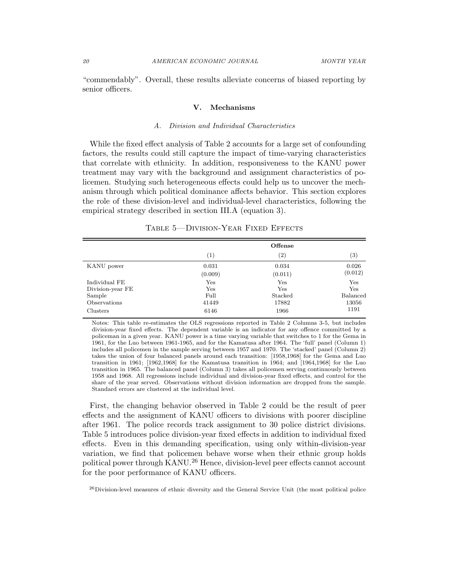"commendably". Overall, these results alleviate concerns of biased reporting by senior officers.

#### V. Mechanisms

#### A. Division and Individual Characteristics

While the fixed effect analysis of Table 2 accounts for a large set of confounding factors, the results could still capture the impact of time-varying characteristics that correlate with ethnicity. In addition, responsiveness to the KANU power treatment may vary with the background and assignment characteristics of policemen. Studying such heterogeneous effects could help us to uncover the mechanism through which political dominance affects behavior. This section explores the role of these division-level and individual-level characteristics, following the empirical strategy described in section III.A (equation 3).

|                  | Offense |                   |                   |
|------------------|---------|-------------------|-------------------|
|                  | (1)     | $\left( 2\right)$ | $\left( 3\right)$ |
| KANU power       | 0.031   | 0.034             | 0.026             |
|                  | (0.009) | (0.011)           | (0.012)           |
| Individual FE    | Yes     | Yes               | Yes               |
| Division-year FE | Yes     | Yes               | Yes               |
| Sample           | Full    | Stacked           | Balanced          |
| Observations     | 41449   | 17882             | 13056             |
| Clusters         | 6146    | 1966              | 1191              |

TABLE 5-DIVISION-YEAR FIXED EFFECTS

Notes: This table re-estimates the OLS regressions reported in Table 2 Columns 3-5, but includes division-year fixed effects. The dependent variable is an indicator for any offence committed by a policeman in a given year. KANU power is a time varying variable that switches to 1 for the Gema in 1961, for the Luo between 1961-1965, and for the Kamatusa after 1964. The 'full' panel (Column 1) includes all policemen in the sample serving between 1957 and 1970. The 'stacked' panel (Column 2) takes the union of four balanced panels around each transition: [1958,1968] for the Gema and Luo transition in 1961; [1962,1968] for the Kamatusa transition in 1964; and [1964,1968] for the Luo transition in 1965. The balanced panel (Column 3) takes all policemen serving continuously between 1958 and 1968. All regressions include individual and division-year fixed effects, and control for the share of the year served. Observations without division information are dropped from the sample. Standard errors are clustered at the individual level.

First, the changing behavior observed in Table 2 could be the result of peer effects and the assignment of KANU officers to divisions with poorer discipline after 1961. The police records track assignment to 30 police district divisions. Table 5 introduces police division-year fixed effects in addition to individual fixed effects. Even in this demanding specification, using only within-division-year variation, we find that policemen behave worse when their ethnic group holds political power through KANU.<sup>26</sup> Hence, division-level peer effects cannot account for the poor performance of KANU officers.

<sup>26</sup>Division-level measures of ethnic diversity and the General Service Unit (the most political police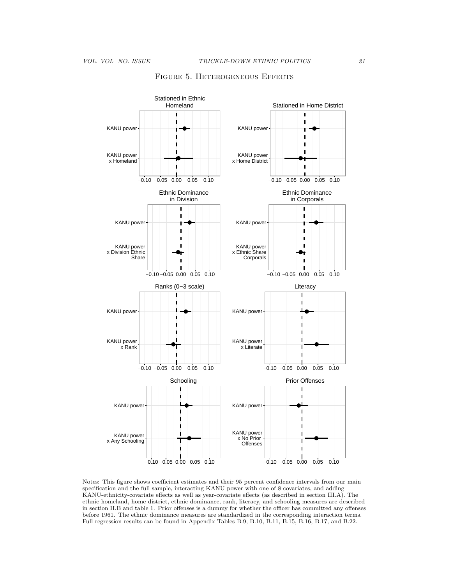

## FIGURE 5. HETEROGENEOUS EFFECTS

Notes: This figure shows coefficient estimates and their 95 percent confidence intervals from our main specification and the full sample, interacting KANU power with one of 8 covariates, and adding KANU-ethnicity-covariate effects as well as year-covariate effects (as described in section III.A). The ethnic homeland, home district, ethnic dominance, rank, literacy, and schooling measures are described in section II.B and table 1. Prior offenses is a dummy for whether the officer has committed any offenses before 1961. The ethnic dominance measures are standardized in the corresponding interaction terms. Full regression results can be found in Appendix Tables B.9, B.10, B.11, B.15, B.16, B.17, and B.22.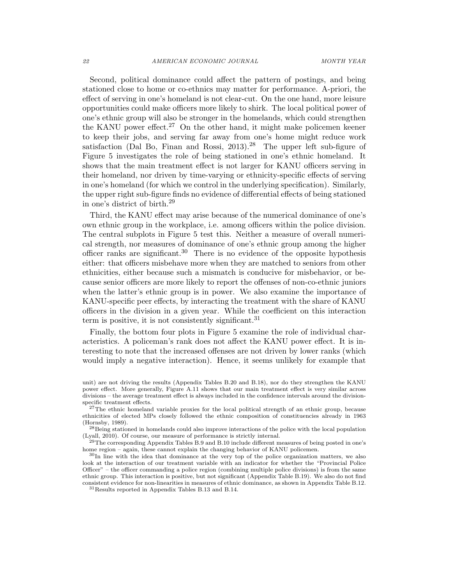Second, political dominance could affect the pattern of postings, and being stationed close to home or co-ethnics may matter for performance. A-priori, the effect of serving in one's homeland is not clear-cut. On the one hand, more leisure opportunities could make officers more likely to shirk. The local political power of one's ethnic group will also be stronger in the homelands, which could strengthen the KANU power effect.<sup>27</sup> On the other hand, it might make policemen keener to keep their jobs, and serving far away from one's home might reduce work satisfaction (Dal Bo, Finan and Rossi,  $2013$ ).<sup>28</sup> The upper left sub-figure of Figure 5 investigates the role of being stationed in one's ethnic homeland. It shows that the main treatment effect is not larger for KANU officers serving in their homeland, nor driven by time-varying or ethnicity-specific effects of serving in one's homeland (for which we control in the underlying specification). Similarly, the upper right sub-figure finds no evidence of differential effects of being stationed in one's district of birth.<sup>29</sup>

Third, the KANU effect may arise because of the numerical dominance of one's own ethnic group in the workplace, i.e. among officers within the police division. The central subplots in Figure 5 test this. Neither a measure of overall numerical strength, nor measures of dominance of one's ethnic group among the higher officer ranks are significant.<sup>30</sup> There is no evidence of the opposite hypothesis either: that officers misbehave more when they are matched to seniors from other ethnicities, either because such a mismatch is conducive for misbehavior, or because senior officers are more likely to report the offenses of non-co-ethnic juniors when the latter's ethnic group is in power. We also examine the importance of KANU-specific peer effects, by interacting the treatment with the share of KANU officers in the division in a given year. While the coefficient on this interaction term is positive, it is not consistently significant.<sup>31</sup>

Finally, the bottom four plots in Figure 5 examine the role of individual characteristics. A policeman's rank does not affect the KANU power effect. It is interesting to note that the increased offenses are not driven by lower ranks (which would imply a negative interaction). Hence, it seems unlikely for example that

unit) are not driving the results (Appendix Tables B.20 and B.18), nor do they strengthen the KANU power effect. More generally, Figure A.11 shows that our main treatment effect is very similar across divisions – the average treatment effect is always included in the confidence intervals around the divisionspecific treatment effects.

<sup>&</sup>lt;sup>27</sup>The ethnic homeland variable proxies for the local political strength of an ethnic group, because ethnicities of elected MPs closely followed the ethnic composition of constituencies already in 1963 (Hornsby, 1989).

<sup>&</sup>lt;sup>28</sup>Being stationed in homelands could also improve interactions of the police with the local population (Lyall, 2010). Of course, our measure of performance is strictly internal.

 $^{29}$ The corresponding Appendix Tables B.9 and B.10 include different measures of being posted in one's home region – again, these cannot explain the changing behavior of KANU policemen.

 $30$ In line with the idea that dominance at the very top of the police organization matters, we also look at the interaction of our treatment variable with an indicator for whether the "Provincial Police Officer" – the officer commanding a police region (combining multiple police divisions) is from the same ethnic group. This interaction is positive, but not significant (Appendix Table B.19). We also do not find consistent evidence for non-linearities in measures of ethnic dominance, as shown in Appendix Table B.12.  $^{31}\rm{Results}$  reported in Appendix Tables B.13 and B.14.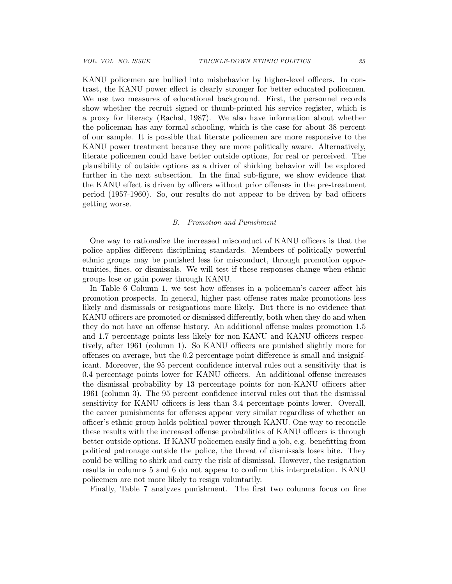KANU policemen are bullied into misbehavior by higher-level officers. In contrast, the KANU power effect is clearly stronger for better educated policemen. We use two measures of educational background. First, the personnel records show whether the recruit signed or thumb-printed his service register, which is a proxy for literacy (Rachal, 1987). We also have information about whether the policeman has any formal schooling, which is the case for about 38 percent of our sample. It is possible that literate policemen are more responsive to the KANU power treatment because they are more politically aware. Alternatively, literate policemen could have better outside options, for real or perceived. The plausibility of outside options as a driver of shirking behavior will be explored further in the next subsection. In the final sub-figure, we show evidence that the KANU effect is driven by officers without prior offenses in the pre-treatment period (1957-1960). So, our results do not appear to be driven by bad officers getting worse.

#### B. Promotion and Punishment

One way to rationalize the increased misconduct of KANU officers is that the police applies different disciplining standards. Members of politically powerful ethnic groups may be punished less for misconduct, through promotion opportunities, fines, or dismissals. We will test if these responses change when ethnic groups lose or gain power through KANU.

In Table 6 Column 1, we test how offenses in a policeman's career affect his promotion prospects. In general, higher past offense rates make promotions less likely and dismissals or resignations more likely. But there is no evidence that KANU officers are promoted or dismissed differently, both when they do and when they do not have an offense history. An additional offense makes promotion 1.5 and 1.7 percentage points less likely for non-KANU and KANU officers respectively, after 1961 (column 1). So KANU officers are punished slightly more for offenses on average, but the 0.2 percentage point difference is small and insignificant. Moreover, the 95 percent confidence interval rules out a sensitivity that is 0.4 percentage points lower for KANU officers. An additional offense increases the dismissal probability by 13 percentage points for non-KANU officers after 1961 (column 3). The 95 percent confidence interval rules out that the dismissal sensitivity for KANU officers is less than 3.4 percentage points lower. Overall, the career punishments for offenses appear very similar regardless of whether an officer's ethnic group holds political power through KANU. One way to reconcile these results with the increased offense probabilities of KANU officers is through better outside options. If KANU policemen easily find a job, e.g. benefitting from political patronage outside the police, the threat of dismissals loses bite. They could be willing to shirk and carry the risk of dismissal. However, the resignation results in columns 5 and 6 do not appear to confirm this interpretation. KANU policemen are not more likely to resign voluntarily.

Finally, Table 7 analyzes punishment. The first two columns focus on fine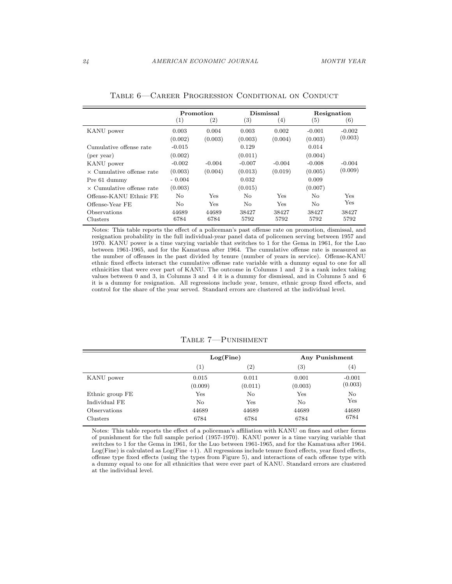|                                  | Promotion |                   |          | Dismissal |          | Resignation |  |
|----------------------------------|-----------|-------------------|----------|-----------|----------|-------------|--|
|                                  | (1)       | $\left( 2\right)$ | (3)      | (4)       | (5)      | (6)         |  |
| KANU power                       | 0.003     | 0.004             | 0.003    | 0.002     | $-0.001$ | $-0.002$    |  |
|                                  | (0.002)   | (0.003)           | (0.003)  | (0.004)   | (0.003)  | (0.003)     |  |
| Cumulative offense rate          | $-0.015$  |                   | 0.129    |           | 0.014    |             |  |
| $(per \, year)$                  | (0.002)   |                   | (0.011)  |           | (0.004)  |             |  |
| KANU power                       | $-0.002$  | $-0.004$          | $-0.007$ | $-0.004$  | $-0.008$ | $-0.004$    |  |
| $\times$ Cumulative offense rate | (0.003)   | (0.004)           | (0.013)  | (0.019)   | (0.005)  | (0.009)     |  |
| Pre 61 dummy                     | $-0.004$  |                   | 0.032    |           | 0.009    |             |  |
| $\times$ Cumulative offense rate | (0.003)   |                   | (0.015)  |           | (0.007)  |             |  |
| Offense-KANU Ethnic FE           | No        | Yes               | No.      | Yes       | No.      | Yes         |  |
| Offense-Year FE                  | No.       | Yes               | No.      | Yes       | No.      | <b>Yes</b>  |  |
| Observations                     | 44689     | 44689             | 38427    | 38427     | 38427    | 38427       |  |
| Clusters                         | 6784      | 6784              | 5792     | 5792      | 5792     | 5792        |  |

Table 6—Career Progression Conditional on Conduct

Notes: This table reports the effect of a policeman's past offense rate on promotion, dismissal, and resignation probability in the full individual-year panel data of policemen serving between 1957 and 1970. KANU power is a time varying variable that switches to 1 for the Gema in 1961, for the Luo between 1961-1965, and for the Kamatusa after 1964. The cumulative offense rate is measured as the number of offenses in the past divided by tenure (number of years in service). Offense-KANU ethnic fixed effects interact the cumulative offense rate variable with a dummy equal to one for all ethnicities that were ever part of KANU. The outcome in Columns 1 and 2 is a rank index taking values between 0 and 3, in Columns 3 and 4 it is a dummy for dismissal, and in Columns 5 and 6 it is a dummy for resignation. All regressions include year, tenure, ethnic group fixed effects, and control for the share of the year served. Standard errors are clustered at the individual level.

|                 |                  | Log(Fine)         |                   | <b>Any Punishment</b> |
|-----------------|------------------|-------------------|-------------------|-----------------------|
|                 | (1)              | $\left( 2\right)$ | $\left( 3\right)$ | (4)                   |
| KANU power      | 0.015<br>(0.009) | 0.011<br>(0.011)  | 0.001<br>(0.003)  | $-0.001$<br>(0.003)   |
| Ethnic group FE | $_{\rm Yes}$     | No                | Yes               | No                    |
| Individual FE   | No               | Yes               | No                | Yes                   |
| Observations    | 44689            | 44689             | 44689             | 44689                 |
| Clusters        | 6784             | 6784              | 6784              | 6784                  |

Table 7—Punishment

Notes: This table reports the effect of a policeman's affiliation with KANU on fines and other forms of punishment for the full sample period (1957-1970). KANU power is a time varying variable that switches to 1 for the Gema in 1961, for the Luo between 1961-1965, and for the Kamatusa after 1964. Log(Fine) is calculated as Log(Fine +1). All regressions include tenure fixed effects, year fixed effects, offense type fixed effects (using the types from Figure 5), and interactions of each offense type with a dummy equal to one for all ethnicities that were ever part of KANU. Standard errors are clustered at the individual level.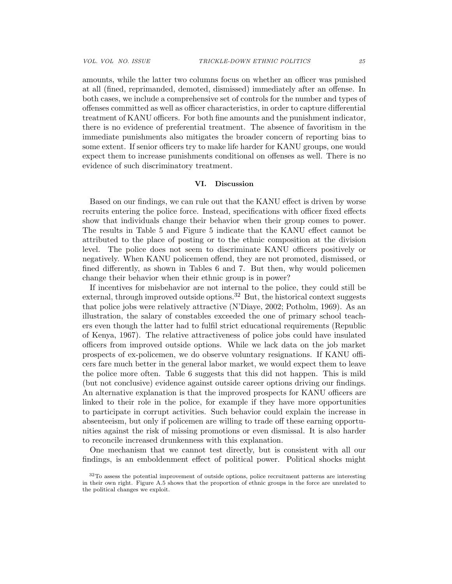amounts, while the latter two columns focus on whether an officer was punished at all (fined, reprimanded, demoted, dismissed) immediately after an offense. In both cases, we include a comprehensive set of controls for the number and types of offenses committed as well as officer characteristics, in order to capture differential treatment of KANU officers. For both fine amounts and the punishment indicator, there is no evidence of preferential treatment. The absence of favoritism in the immediate punishments also mitigates the broader concern of reporting bias to some extent. If senior officers try to make life harder for KANU groups, one would expect them to increase punishments conditional on offenses as well. There is no evidence of such discriminatory treatment.

#### VI. Discussion

Based on our findings, we can rule out that the KANU effect is driven by worse recruits entering the police force. Instead, specifications with officer fixed effects show that individuals change their behavior when their group comes to power. The results in Table 5 and Figure 5 indicate that the KANU effect cannot be attributed to the place of posting or to the ethnic composition at the division level. The police does not seem to discriminate KANU officers positively or negatively. When KANU policemen offend, they are not promoted, dismissed, or fined differently, as shown in Tables 6 and 7. But then, why would policemen change their behavior when their ethnic group is in power?

If incentives for misbehavior are not internal to the police, they could still be external, through improved outside options.<sup>32</sup> But, the historical context suggests that police jobs were relatively attractive (N'Diaye, 2002; Potholm, 1969). As an illustration, the salary of constables exceeded the one of primary school teachers even though the latter had to fulfil strict educational requirements (Republic of Kenya, 1967). The relative attractiveness of police jobs could have insulated officers from improved outside options. While we lack data on the job market prospects of ex-policemen, we do observe voluntary resignations. If KANU officers fare much better in the general labor market, we would expect them to leave the police more often. Table 6 suggests that this did not happen. This is mild (but not conclusive) evidence against outside career options driving our findings. An alternative explanation is that the improved prospects for KANU officers are linked to their role in the police, for example if they have more opportunities to participate in corrupt activities. Such behavior could explain the increase in absenteeism, but only if policemen are willing to trade off these earning opportunities against the risk of missing promotions or even dismissal. It is also harder to reconcile increased drunkenness with this explanation.

One mechanism that we cannot test directly, but is consistent with all our findings, is an emboldenment effect of political power. Political shocks might

<sup>32</sup>To assess the potential improvement of outside options, police recruitment patterns are interesting in their own right. Figure A.5 shows that the proportion of ethnic groups in the force are unrelated to the political changes we exploit.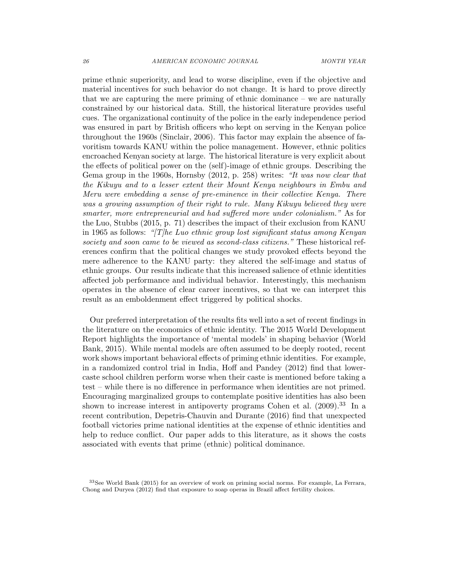prime ethnic superiority, and lead to worse discipline, even if the objective and material incentives for such behavior do not change. It is hard to prove directly that we are capturing the mere priming of ethnic dominance – we are naturally constrained by our historical data. Still, the historical literature provides useful cues. The organizational continuity of the police in the early independence period was ensured in part by British officers who kept on serving in the Kenyan police throughout the 1960s (Sinclair, 2006). This factor may explain the absence of favoritism towards KANU within the police management. However, ethnic politics encroached Kenyan society at large. The historical literature is very explicit about the effects of political power on the (self)-image of ethnic groups. Describing the Gema group in the 1960s, Hornsby (2012, p. 258) writes: "It was now clear that the Kikuyu and to a lesser extent their Mount Kenya neighbours in Embu and Meru were embedding a sense of pre-eminence in their collective Kenya. There was a growing assumption of their right to rule. Many Kikuyu believed they were smarter, more entrepreneurial and had suffered more under colonialism." As for the Luo, Stubbs (2015, p. 71) describes the impact of their exclusion from KANU in 1965 as follows: "[T]he Luo ethnic group lost significant status among Kenyan society and soon came to be viewed as second-class citizens." These historical references confirm that the political changes we study provoked effects beyond the mere adherence to the KANU party: they altered the self-image and status of ethnic groups. Our results indicate that this increased salience of ethnic identities affected job performance and individual behavior. Interestingly, this mechanism operates in the absence of clear career incentives, so that we can interpret this result as an emboldenment effect triggered by political shocks.

Our preferred interpretation of the results fits well into a set of recent findings in the literature on the economics of ethnic identity. The 2015 World Development Report highlights the importance of 'mental models' in shaping behavior (World Bank, 2015). While mental models are often assumed to be deeply rooted, recent work shows important behavioral effects of priming ethnic identities. For example, in a randomized control trial in India, Hoff and Pandey (2012) find that lowercaste school children perform worse when their caste is mentioned before taking a test – while there is no difference in performance when identities are not primed. Encouraging marginalized groups to contemplate positive identities has also been shown to increase interest in antipoverty programs Cohen et al.  $(2009).^{33}$  In a recent contribution, Depetris-Chauvin and Durante (2016) find that unexpected football victories prime national identities at the expense of ethnic identities and help to reduce conflict. Our paper adds to this literature, as it shows the costs associated with events that prime (ethnic) political dominance.

<sup>33</sup>See World Bank (2015) for an overview of work on priming social norms. For example, La Ferrara, Chong and Duryea (2012) find that exposure to soap operas in Brazil affect fertility choices.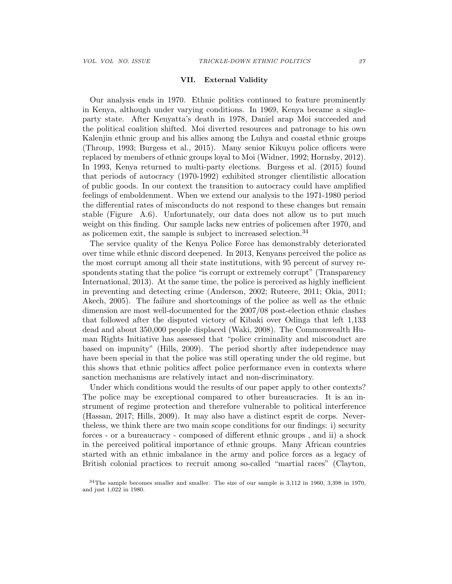#### VII. External Validity

Our analysis ends in 1970. Ethnic politics continued to feature prominently in Kenya, although under varying conditions. In 1969, Kenya became a singleparty state. After Kenyatta's death in 1978, Daniel arap Moi succeeded and the political coalition shifted. Moi diverted resources and patronage to his own Kalenjin ethnic group and his allies among the Luhya and coastal ethnic groups (Throup, 1993; Burgess et al., 2015). Many senior Kikuyu police officers were replaced by members of ethnic groups loyal to Moi (Widner, 1992; Hornsby, 2012). In 1993, Kenya returned to multi-party elections. Burgess et al. (2015) found that periods of autocracy (1970-1992) exhibited stronger clientilistic allocation of public goods. In our context the transition to autocracy could have amplified feelings of emboldenment. When we extend our analysis to the 1971-1980 period the differential rates of misconducts do not respond to these changes but remain stable (Figure A.6). Unfortunately, our data does not allow us to put much weight on this finding. Our sample lacks new entries of policemen after 1970, and as policemen exit, the sample is subject to increased selection.<sup>34</sup>

The service quality of the Kenya Police Force has demonstrably deteriorated over time while ethnic discord deepened. In 2013, Kenyans perceived the police as the most corrupt among all their state institutions, with 95 percent of survey respondents stating that the police "is corrupt or extremely corrupt" (Transparency International, 2013). At the same time, the police is perceived as highly inefficient in preventing and detecting crime (Anderson, 2002; Ruteere, 2011; Okia, 2011; Akech, 2005). The failure and shortcomings of the police as well as the ethnic dimension are most well-documented for the 2007/08 post-election ethnic clashes that followed after the disputed victory of Kibaki over Odinga that left 1,133 dead and about 350,000 people displaced (Waki, 2008). The Commonwealth Human Rights Initiative has assessed that "police criminality and misconduct are based on impunity" (Hills, 2009). The period shortly after independence may have been special in that the police was still operating under the old regime, but this shows that ethnic politics affect police performance even in contexts where sanction mechanisms are relatively intact and non-discriminatory.

Under which conditions would the results of our paper apply to other contexts? The police may be exceptional compared to other bureaucracies. It is an instrument of regime protection and therefore vulnerable to political interference (Hassan, 2017; Hills, 2009). It may also have a distinct esprit de corps. Nevertheless, we think there are two main scope conditions for our findings: i) security forces - or a bureaucracy - composed of different ethnic groups , and ii) a shock in the perceived political importance of ethnic groups. Many African countries started with an ethnic imbalance in the army and police forces as a legacy of British colonial practices to recruit among so-called "martial races" (Clayton,

<sup>34</sup>The sample becomes smaller and smaller. The size of our sample is 3,112 in 1960, 3,398 in 1970, and just 1,022 in 1980.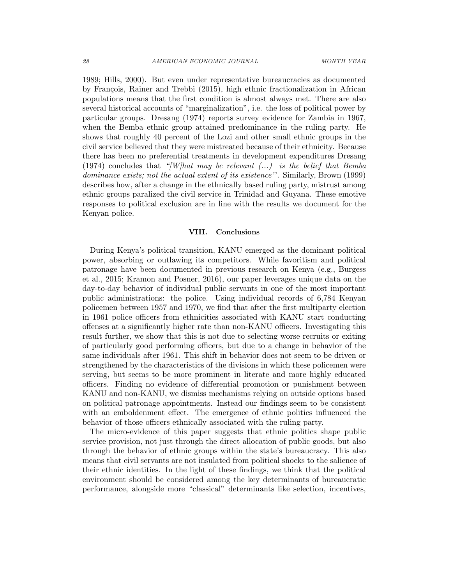1989; Hills, 2000). But even under representative bureaucracies as documented by François, Rainer and Trebbi (2015), high ethnic fractionalization in African populations means that the first condition is almost always met. There are also several historical accounts of "marginalization", i.e. the loss of political power by particular groups. Dresang (1974) reports survey evidence for Zambia in 1967, when the Bemba ethnic group attained predominance in the ruling party. He shows that roughly 40 percent of the Lozi and other small ethnic groups in the civil service believed that they were mistreated because of their ethnicity. Because there has been no preferential treatments in development expenditures Dresang (1974) concludes that "[W]hat may be relevant  $(...)$  is the belief that Bemba dominance exists; not the actual extent of its existence''. Similarly, Brown (1999) describes how, after a change in the ethnically based ruling party, mistrust among ethnic groups paralized the civil service in Trinidad and Guyana. These emotive responses to political exclusion are in line with the results we document for the Kenyan police.

### VIII. Conclusions

During Kenya's political transition, KANU emerged as the dominant political power, absorbing or outlawing its competitors. While favoritism and political patronage have been documented in previous research on Kenya (e.g., Burgess et al., 2015; Kramon and Posner, 2016), our paper leverages unique data on the day-to-day behavior of individual public servants in one of the most important public administrations: the police. Using individual records of 6,784 Kenyan policemen between 1957 and 1970, we find that after the first multiparty election in 1961 police officers from ethnicities associated with KANU start conducting offenses at a significantly higher rate than non-KANU officers. Investigating this result further, we show that this is not due to selecting worse recruits or exiting of particularly good performing officers, but due to a change in behavior of the same individuals after 1961. This shift in behavior does not seem to be driven or strengthened by the characteristics of the divisions in which these policemen were serving, but seems to be more prominent in literate and more highly educated officers. Finding no evidence of differential promotion or punishment between KANU and non-KANU, we dismiss mechanisms relying on outside options based on political patronage appointments. Instead our findings seem to be consistent with an emboldenment effect. The emergence of ethnic politics influenced the behavior of those officers ethnically associated with the ruling party.

The micro-evidence of this paper suggests that ethnic politics shape public service provision, not just through the direct allocation of public goods, but also through the behavior of ethnic groups within the state's bureaucracy. This also means that civil servants are not insulated from political shocks to the salience of their ethnic identities. In the light of these findings, we think that the political environment should be considered among the key determinants of bureaucratic performance, alongside more "classical" determinants like selection, incentives,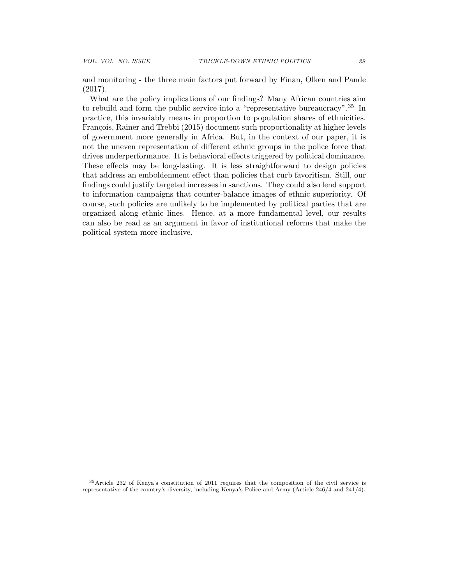and monitoring - the three main factors put forward by Finan, Olken and Pande (2017).

What are the policy implications of our findings? Many African countries aim to rebuild and form the public service into a "representative bureaucracy".<sup>35</sup> In practice, this invariably means in proportion to population shares of ethnicities. François, Rainer and Trebbi (2015) document such proportionality at higher levels of government more generally in Africa. But, in the context of our paper, it is not the uneven representation of different ethnic groups in the police force that drives underperformance. It is behavioral effects triggered by political dominance. These effects may be long-lasting. It is less straightforward to design policies that address an emboldenment effect than policies that curb favoritism. Still, our findings could justify targeted increases in sanctions. They could also lend support to information campaigns that counter-balance images of ethnic superiority. Of course, such policies are unlikely to be implemented by political parties that are organized along ethnic lines. Hence, at a more fundamental level, our results can also be read as an argument in favor of institutional reforms that make the political system more inclusive.

<sup>35</sup>Article 232 of Kenya's constitution of 2011 requires that the composition of the civil service is representative of the country's diversity, including Kenya's Police and Army (Article 246/4 and 241/4).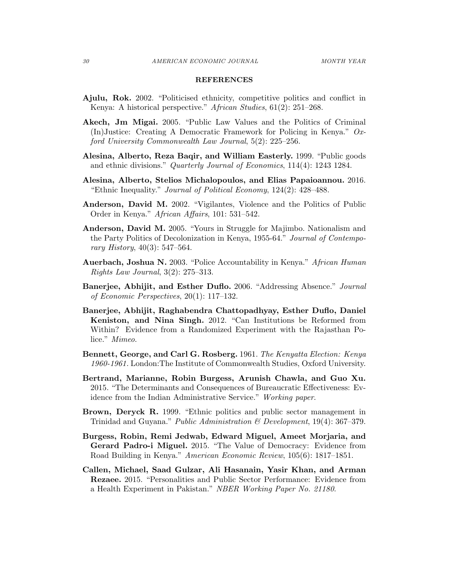#### REFERENCES

- Ajulu, Rok. 2002. "Politicised ethnicity, competitive politics and conflict in Kenya: A historical perspective." African Studies, 61(2): 251–268.
- Akech, Jm Migai. 2005. "Public Law Values and the Politics of Criminal (In)Justice: Creating A Democratic Framework for Policing in Kenya." Oxford University Commonwealth Law Journal, 5(2): 225–256.
- Alesina, Alberto, Reza Baqir, and William Easterly. 1999. "Public goods and ethnic divisions." Quarterly Journal of Economics, 114(4): 1243 1284.
- Alesina, Alberto, Stelios Michalopoulos, and Elias Papaioannou. 2016. "Ethnic Inequality." Journal of Political Economy, 124(2): 428–488.
- Anderson, David M. 2002. "Vigilantes, Violence and the Politics of Public Order in Kenya." African Affairs, 101: 531–542.
- Anderson, David M. 2005. "Yours in Struggle for Majimbo. Nationalism and the Party Politics of Decolonization in Kenya, 1955-64." Journal of Contemporary History, 40(3): 547–564.
- Auerbach, Joshua N. 2003. "Police Accountability in Kenya." African Human Rights Law Journal, 3(2): 275–313.
- Banerjee, Abhijit, and Esther Duflo. 2006. "Addressing Absence." Journal of Economic Perspectives, 20(1): 117–132.
- Banerjee, Abhijit, Raghabendra Chattopadhyay, Esther Duflo, Daniel Keniston, and Nina Singh. 2012. "Can Institutions be Reformed from Within? Evidence from a Randomized Experiment with the Rajasthan Police." Mimeo.
- Bennett, George, and Carl G. Rosberg. 1961. The Kenyatta Election: Kenya 1960-1961. London:The Institute of Commonwealth Studies, Oxford University.
- Bertrand, Marianne, Robin Burgess, Arunish Chawla, and Guo Xu. 2015. "The Determinants and Consequences of Bureaucratic Effectiveness: Evidence from the Indian Administrative Service." Working paper.
- Brown, Deryck R. 1999. "Ethnic politics and public sector management in Trinidad and Guyana." Public Administration & Development, 19(4): 367–379.
- Burgess, Robin, Remi Jedwab, Edward Miguel, Ameet Morjaria, and Gerard Padro-i Miguel. 2015. "The Value of Democracy: Evidence from Road Building in Kenya." American Economic Review, 105(6): 1817–1851.
- Callen, Michael, Saad Gulzar, Ali Hasanain, Yasir Khan, and Arman Rezaee. 2015. "Personalities and Public Sector Performance: Evidence from a Health Experiment in Pakistan." NBER Working Paper No. 21180.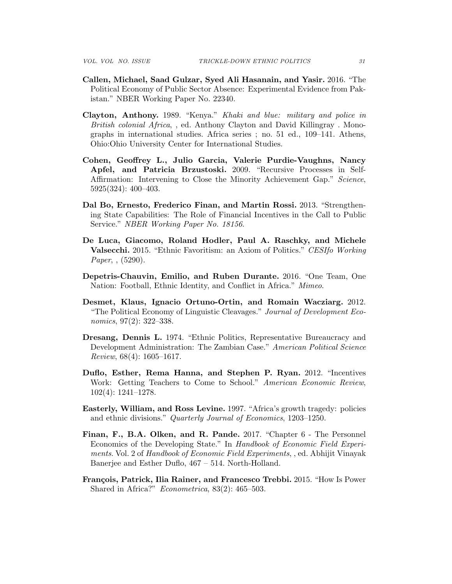- Callen, Michael, Saad Gulzar, Syed Ali Hasanain, and Yasir. 2016. "The Political Economy of Public Sector Absence: Experimental Evidence from Pakistan." NBER Working Paper No. 22340.
- Clayton, Anthony. 1989. "Kenya." Khaki and blue: military and police in British colonial Africa,, ed. Anthony Clayton and David Killingray. Monographs in international studies. Africa series ; no. 51 ed., 109–141. Athens, Ohio:Ohio University Center for International Studies.
- Cohen, Geoffrey L., Julio Garcia, Valerie Purdie-Vaughns, Nancy Apfel, and Patricia Brzustoski. 2009. "Recursive Processes in Self-Affirmation: Intervening to Close the Minority Achievement Gap." Science, 5925(324): 400–403.
- Dal Bo, Ernesto, Frederico Finan, and Martin Rossi. 2013. "Strengthening State Capabilities: The Role of Financial Incentives in the Call to Public Service." NBER Working Paper No. 18156.
- De Luca, Giacomo, Roland Hodler, Paul A. Raschky, and Michele **Valsecchi.** 2015. "Ethnic Favoritism: an Axiom of Politics." CESIfo Working Paper, , (5290).
- Depetris-Chauvin, Emilio, and Ruben Durante. 2016. "One Team, One Nation: Football, Ethnic Identity, and Conflict in Africa." Mimeo.
- Desmet, Klaus, Ignacio Ortuno-Ortin, and Romain Wacziarg. 2012. "The Political Economy of Linguistic Cleavages." Journal of Development Economics, 97(2): 322–338.
- Dresang, Dennis L. 1974. "Ethnic Politics, Representative Bureaucracy and Development Administration: The Zambian Case." American Political Science Review, 68(4): 1605–1617.
- Duflo, Esther, Rema Hanna, and Stephen P. Ryan. 2012. "Incentives Work: Getting Teachers to Come to School." American Economic Review, 102(4): 1241–1278.
- Easterly, William, and Ross Levine. 1997. "Africa's growth tragedy: policies and ethnic divisions." Quarterly Journal of Economics, 1203–1250.
- Finan, F., B.A. Olken, and R. Pande. 2017. "Chapter 6 The Personnel Economics of the Developing State." In Handbook of Economic Field Experiments. Vol. 2 of Handbook of Economic Field Experiments, , ed. Abhijit Vinayak Banerjee and Esther Duflo, 467 – 514. North-Holland.
- François, Patrick, Ilia Rainer, and Francesco Trebbi. 2015. "How Is Power Shared in Africa?" Econometrica, 83(2): 465–503.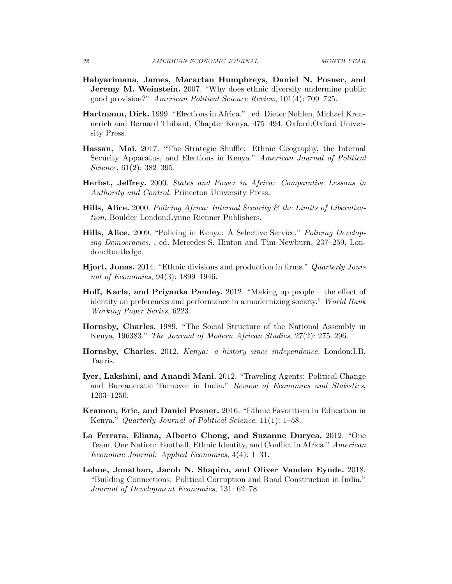- Habyarimana, James, Macartan Humphreys, Daniel N. Posner, and **Jeremy M. Weinstein.** 2007. "Why does ethnic diversity undermine public good provision?" American Political Science Review, 101(4): 709–725.
- Hartmann, Dirk. 1999. "Elections in Africa." , ed. Dieter Nohlen, Michael Krennerich and Bernard Thibaut, Chapter Kenya, 475–494. Oxford:Oxford University Press.
- Hassan, Mai. 2017. "The Strategic Shuffle: Ethnic Geography, the Internal Security Apparatus, and Elections in Kenya." American Journal of Political Science, 61(2): 382–395.
- Herbst, Jeffrey. 2000. States and Power in Africa: Comparative Lessons in Authority and Control. Princeton University Press.
- **Hills, Alice.** 2000. Policing Africa: Internal Security  $\mathcal{C}$  the Limits of Liberalization. Boulder London:Lynne Rienner Publishers.
- Hills, Alice. 2009. "Policing in Kenya: A Selective Service." Policing Developing Democracies, , ed. Mercedes S. Hinton and Tim Newburn, 237–259. London:Routledge.
- Hjort, Jonas. 2014. "Ethnic divisions and production in firms." Quarterly Journal of Economics, 94(3): 1899–1946.
- Hoff, Karla, and Priyanka Pandey. 2012. "Making up people the effect of identity on preferences and performance in a modernizing society." World Bank Working Paper Series, 6223.
- Hornsby, Charles. 1989. "The Social Structure of the National Assembly in Kenya, 196383." The Journal of Modern African Studies, 27(2): 275–296.
- Hornsby, Charles. 2012. Kenya: a history since independence. London:I.B. Tauris.
- Iyer, Lakshmi, and Anandi Mani. 2012. "Traveling Agents: Political Change and Bureaucratic Turnover in India." Review of Economics and Statistics, 1203–1250.
- Kramon, Eric, and Daniel Posner. 2016. "Ethnic Favoritism in Education in Kenya." Quarterly Journal of Political Science, 11(1): 1–58.
- La Ferrara, Eliana, Alberto Chong, and Suzanne Duryea. 2012. "One Team, One Nation: Football, Ethnic Identity, and Conflict in Africa." American Economic Journal: Applied Economics, 4(4): 1–31.
- Lehne, Jonathan, Jacob N. Shapiro, and Oliver Vanden Eynde. 2018. "Building Connections: Political Corruption and Road Construction in India." Journal of Development Economics, 131: 62–78.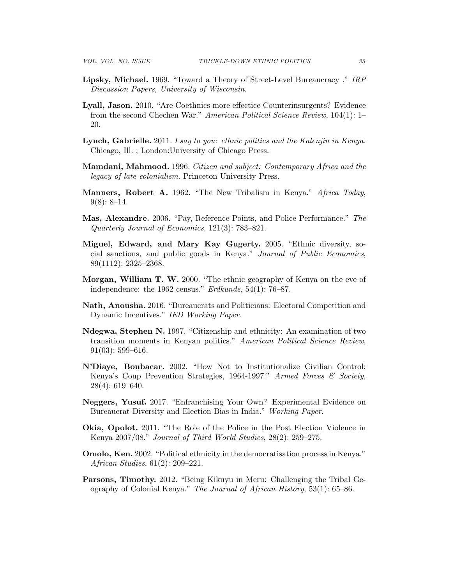- Lipsky, Michael. 1969. "Toward a Theory of Street-Level Bureaucracy ." IRP Discussion Papers, University of Wisconsin.
- Lyall, Jason. 2010. "Are Coethnics more effectice Counterinsurgents? Evidence from the second Chechen War." American Political Science Review, 104(1): 1– 20.
- Lynch, Gabrielle. 2011. I say to you: ethnic politics and the Kalenjin in Kenya. Chicago, Ill. ; London:University of Chicago Press.
- Mamdani, Mahmood. 1996. Citizen and subject: Contemporary Africa and the legacy of late colonialism. Princeton University Press.
- Manners, Robert A. 1962. "The New Tribalism in Kenya." Africa Today,  $9(8): 8-14.$
- Mas, Alexandre. 2006. "Pay, Reference Points, and Police Performance." The Quarterly Journal of Economics, 121(3): 783–821.
- Miguel, Edward, and Mary Kay Gugerty. 2005. "Ethnic diversity, social sanctions, and public goods in Kenya." Journal of Public Economics, 89(1112): 2325–2368.
- Morgan, William T. W. 2000. "The ethnic geography of Kenya on the eve of independence: the 1962 census." *Erdkunde*, 54(1): 76–87.
- Nath, Anousha. 2016. "Bureaucrats and Politicians: Electoral Competition and Dynamic Incentives." IED Working Paper.
- Ndegwa, Stephen N. 1997. "Citizenship and ethnicity: An examination of two transition moments in Kenyan politics." American Political Science Review,  $91(03): 599-616.$
- N'Diaye, Boubacar. 2002. "How Not to Institutionalize Civilian Control: Kenya's Coup Prevention Strategies, 1964-1997." Armed Forces & Society, 28(4): 619–640.
- Neggers, Yusuf. 2017. "Enfranchising Your Own? Experimental Evidence on Bureaucrat Diversity and Election Bias in India." Working Paper.
- Okia, Opolot. 2011. "The Role of the Police in the Post Election Violence in Kenya 2007/08." Journal of Third World Studies, 28(2): 259–275.
- Omolo, Ken. 2002. "Political ethnicity in the democratisation process in Kenya." African Studies, 61(2): 209–221.
- Parsons, Timothy. 2012. "Being Kikuyu in Meru: Challenging the Tribal Geography of Colonial Kenya." The Journal of African History, 53(1): 65–86.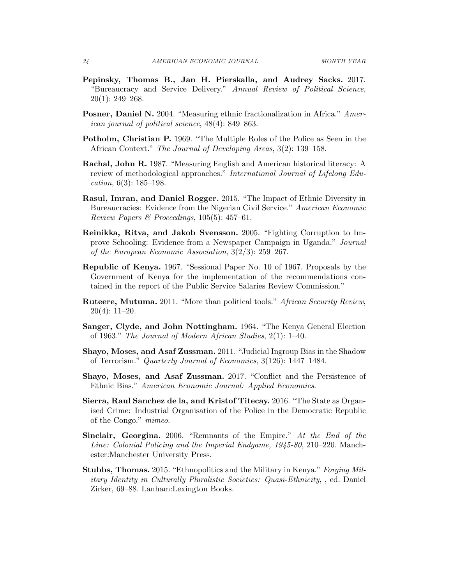- Pepinsky, Thomas B., Jan H. Pierskalla, and Audrey Sacks. 2017. "Bureaucracy and Service Delivery." Annual Review of Political Science, 20(1): 249–268.
- Posner, Daniel N. 2004. "Measuring ethnic fractionalization in Africa." American journal of political science, 48(4): 849–863.
- Potholm, Christian P. 1969. "The Multiple Roles of the Police as Seen in the African Context." The Journal of Developing Areas, 3(2): 139–158.
- Rachal, John R. 1987. "Measuring English and American historical literacy: A review of methodological approaches." International Journal of Lifelong Education, 6(3): 185–198.
- Rasul, Imran, and Daniel Rogger. 2015. "The Impact of Ethnic Diversity in Bureaucracies: Evidence from the Nigerian Civil Service." American Economic Review Papers & Proceedings, 105(5): 457–61.
- Reinikka, Ritva, and Jakob Svensson. 2005. "Fighting Corruption to Improve Schooling: Evidence from a Newspaper Campaign in Uganda." Journal of the European Economic Association, 3(2/3): 259–267.
- Republic of Kenya. 1967. "Sessional Paper No. 10 of 1967. Proposals by the Government of Kenya for the implementation of the recommendations contained in the report of the Public Service Salaries Review Commission."
- Ruteere, Mutuma. 2011. "More than political tools." African Security Review, 20(4): 11–20.
- Sanger, Clyde, and John Nottingham. 1964. "The Kenya General Election of 1963." The Journal of Modern African Studies, 2(1): 1–40.
- Shayo, Moses, and Asaf Zussman. 2011. "Judicial Ingroup Bias in the Shadow of Terrorism." Quarterly Journal of Economics, 3(126): 1447–1484.
- Shayo, Moses, and Asaf Zussman. 2017. "Conflict and the Persistence of Ethnic Bias." American Economic Journal: Applied Economics.
- Sierra, Raul Sanchez de la, and Kristof Titecay. 2016. "The State as Organised Crime: Industrial Organisation of the Police in the Democratic Republic of the Congo." mimeo.
- Sinclair, Georgina. 2006. "Remnants of the Empire." At the End of the Line: Colonial Policing and the Imperial Endgame, 1945-80, 210–220. Manchester:Manchester University Press.
- Stubbs, Thomas. 2015. "Ethnopolitics and the Military in Kenya." Forging Military Identity in Culturally Pluralistic Societies: Quasi-Ethnicity, , ed. Daniel Zirker, 69–88. Lanham:Lexington Books.